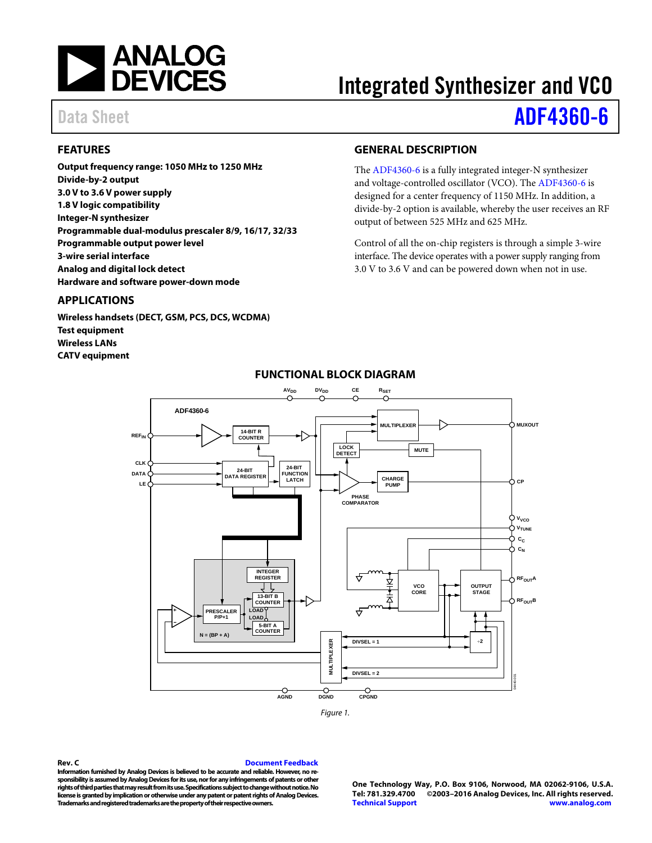

# Integrated Synthesizer and VCO

# Data Sheet **[ADF4360-6](http://www.analog.com/adf4360-6?doc=adf4360-6.pdf)**

# <span id="page-0-0"></span>**FEATURES**

**Output frequency range: 1050 MHz to 1250 MHz Divide-by-2 output 3.0 V to 3.6 V power supply 1.8 V logic compatibility Integer-N synthesizer Programmable dual-modulus prescaler 8/9, 16/17, 32/33 Programmable output power level 3-wire serial interface Analog and digital lock detect Hardware and software power-down mode**

#### <span id="page-0-1"></span>**APPLICATIONS**

<span id="page-0-3"></span>**Wireless handsets (DECT, GSM, PCS, DCS, WCDMA) Test equipment Wireless LANs CATV equipment**

# <span id="page-0-2"></span>**GENERAL DESCRIPTION**

The [ADF4360-6](http://www.analog.com/adf4360-6?doc=adf4360-6.pdf) is a fully integrated integer-N synthesizer and voltage-controlled oscillator (VCO). Th[e ADF4360-6](http://www.analog.com/adf4360-6?doc=adf4360-6.pdf) is designed for a center frequency of 1150 MHz. In addition, a divide-by-2 option is available, whereby the user receives an RF output of between 525 MHz and 625 MHz.

Control of all the on-chip registers is through a simple 3-wire interface. The device operates with a power supply ranging from 3.0 V to 3.6 V and can be powered down when not in use.



## **FUNCTIONAL BLOCK DIAGRAM**

#### **Rev. C [Document Feedback](https://form.analog.com/Form_Pages/feedback/documentfeedback.aspx?doc=ADF4360-6.pdf&product=ADF4360-6&rev=C)**

**Information furnished by Analog Devices is believed to be accurate and reliable. However, no responsibility is assumed by Analog Devices for its use, nor for any infringements of patents or other rights of third parties that may result from its use. Specifications subject to change without notice. No license is granted by implication or otherwise under any patent or patent rights of Analog Devices. Trademarks and registered trademarks are the property of their respective owners.**

**One Technology Way, P.O. Box 9106, Norwood, MA 02062-9106, U.S.A. Tel: 781.329.4700 ©2003–2016 Analog Devices, Inc. All rights reserved. [Technical Support](http://www.analog.com/en/content/technical_support_page/fca.html) [www.analog.com](http://www.analog.com/)**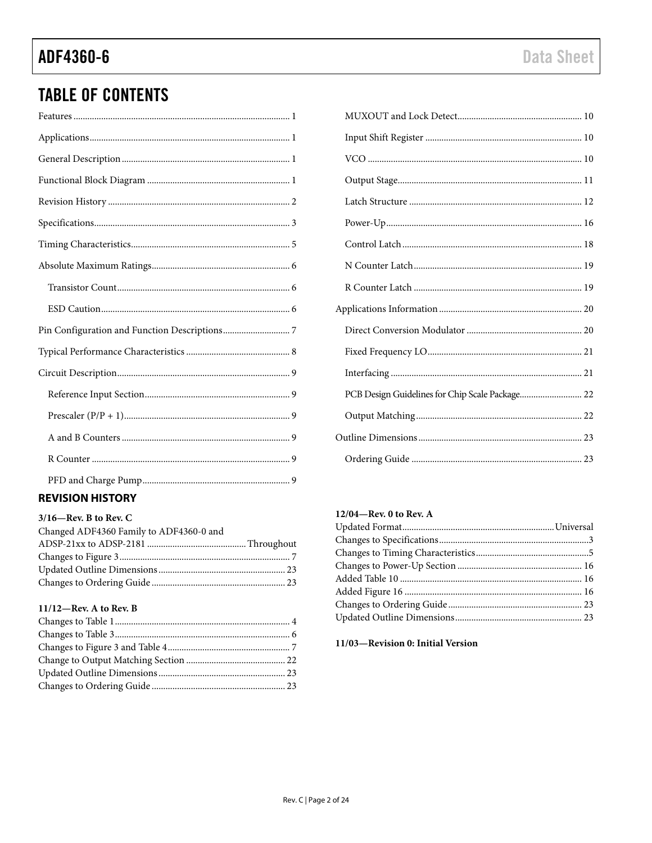# **TABLE OF CONTENTS**

# <span id="page-1-0"></span>**REVISION HISTORY**

| $3/16$ –Rev. B to Rev. C                |  |
|-----------------------------------------|--|
| Changed ADF4360 Family to ADF4360-0 and |  |
|                                         |  |
|                                         |  |
|                                         |  |
|                                         |  |

# $11/12$ —Rev. A to Rev. B

| PCB Design Guidelines for Chip Scale Package 22 |  |
|-------------------------------------------------|--|
|                                                 |  |
|                                                 |  |
|                                                 |  |

#### 12/04-Rev. 0 to Rev. A

### 11/03-Revision 0: Initial Version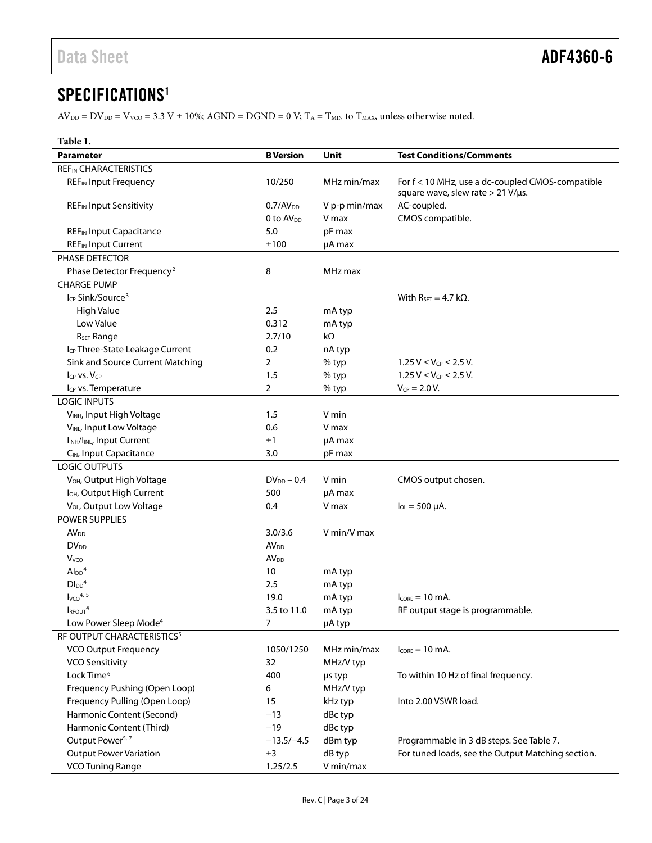# <span id="page-2-0"></span>SPECIFICATIONS<sup>1</sup>

 $\text{AV}_{\text{DD}} = \text{DV}_{\text{DD}} = \text{V}_{\text{VCO}} = 3.3 \text{ V} \pm 10\%; \text{AGND} = \text{DGND} = 0 \text{ V}; \text{T}_\text{A} = \text{T}_{\text{MIN}} \text{ to } \text{T}_{\text{MAX}}$  unless otherwise noted.

| Table 1.                                           |                         |               |                                                                                               |
|----------------------------------------------------|-------------------------|---------------|-----------------------------------------------------------------------------------------------|
| <b>Parameter</b>                                   | <b>B</b> Version        | Unit          | <b>Test Conditions/Comments</b>                                                               |
| <b>REF<sub>IN</sub> CHARACTERISTICS</b>            |                         |               |                                                                                               |
| <b>REF</b> IN Input Frequency                      | 10/250                  | MHz min/max   | For f < 10 MHz, use a dc-coupled CMOS-compatible<br>square wave, slew rate $> 21$ V/ $\mu$ s. |
| <b>REF</b> IN Input Sensitivity                    | 0.7/AV <sub>DD</sub>    | V p-p min/max | AC-coupled.                                                                                   |
|                                                    | 0 to AV <sub>DD</sub>   | V max         | CMOS compatible.                                                                              |
| <b>REF<sub>IN</sub></b> Input Capacitance          | 5.0                     | pF max        |                                                                                               |
| <b>REF<sub>IN</sub></b> Input Current              | ±100                    | µA max        |                                                                                               |
| PHASE DETECTOR                                     |                         |               |                                                                                               |
| Phase Detector Frequency <sup>2</sup>              | 8                       | MHz max       |                                                                                               |
| <b>CHARGE PUMP</b>                                 |                         |               |                                                                                               |
| I <sub>CP</sub> Sink/Source <sup>3</sup>           |                         |               | With $R_{SET} = 4.7$ k $\Omega$ .                                                             |
| High Value                                         | 2.5                     | mA typ        |                                                                                               |
| Low Value                                          | 0.312                   | mA typ        |                                                                                               |
| R <sub>SET</sub> Range                             | 2.7/10                  | $k\Omega$     |                                                                                               |
| I <sub>CP</sub> Three-State Leakage Current        | 0.2                     | nA typ        |                                                                                               |
| Sink and Source Current Matching                   | $\overline{2}$          | % typ         | $1.25 V \le V_{CP} \le 2.5 V$ .                                                               |
| ICP VS. VCP                                        | 1.5                     | % typ         | $1.25 V \leq V_{CP} \leq 2.5 V$ .                                                             |
| I <sub>CP</sub> vs. Temperature                    | $\overline{2}$          | % typ         | $V_{CP} = 2.0 V.$                                                                             |
| <b>LOGIC INPUTS</b>                                |                         |               |                                                                                               |
| VINH, Input High Voltage                           | 1.5                     | V min         |                                                                                               |
| VINL, Input Low Voltage                            | 0.6                     | V max         |                                                                                               |
| I <sub>INH</sub> /I <sub>INL</sub> , Input Current | ±1                      | µA max        |                                                                                               |
| C <sub>IN</sub> , Input Capacitance                | 3.0                     | pF max        |                                                                                               |
| <b>LOGIC OUTPUTS</b>                               |                         |               |                                                                                               |
| V <sub>OH</sub> , Output High Voltage              | $DV_{DD} - 0.4$         | V min         | CMOS output chosen.                                                                           |
| I <sub>OH</sub> , Output High Current              | 500                     | µA max        |                                                                                               |
| V <sub>OL</sub> , Output Low Voltage               | 0.4                     | V max         | $I_{OL} = 500 \mu A$ .                                                                        |
| POWER SUPPLIES                                     |                         |               |                                                                                               |
| <b>AV<sub>DD</sub></b>                             | 3.0/3.6                 | V min/V max   |                                                                                               |
| <b>DV</b> <sub>DD</sub>                            | <b>AV</b> <sub>DD</sub> |               |                                                                                               |
| <b>V</b> <sub>vco</sub>                            | AV <sub>DD</sub>        |               |                                                                                               |
| $Al_{DD}$ <sup>4</sup>                             | 10                      | mA typ        |                                                                                               |
| $D\text{I}_{DD}$ <sup>4</sup>                      | 2.5                     | mA typ        |                                                                                               |
| $I_{VCO}$ <sup>4, 5</sup>                          | 19.0                    | mA typ        | $l_{CORF} = 10$ mA.                                                                           |
| $I_{\text{RFOUT}}^4$                               | 3.5 to 11.0             | mA typ        | RF output stage is programmable.                                                              |
| Low Power Sleep Mode <sup>4</sup>                  | 7                       | µA typ        |                                                                                               |
| RF OUTPUT CHARACTERISTICS <sup>5</sup>             |                         |               |                                                                                               |
| VCO Output Frequency                               | 1050/1250               | MHz min/max   | $I_{\text{CORE}} = 10 \text{ mA}.$                                                            |
| <b>VCO Sensitivity</b>                             | 32                      | MHz/V typ     |                                                                                               |
| Lock Time <sup>6</sup>                             | 400                     | µs typ        | To within 10 Hz of final frequency.                                                           |
| Frequency Pushing (Open Loop)                      | 6                       | MHz/V typ     |                                                                                               |
| Frequency Pulling (Open Loop)                      | 15                      | kHz typ       | Into 2.00 VSWR load.                                                                          |
| Harmonic Content (Second)                          | $-13$                   | dBc typ       |                                                                                               |
| Harmonic Content (Third)                           | $-19$                   | dBc typ       |                                                                                               |
| Output Power <sup>5, 7</sup>                       | $-13.5/-4.5$            | dBm typ       | Programmable in 3 dB steps. See Table 7.                                                      |
| <b>Output Power Variation</b>                      | ±3                      | dB typ        | For tuned loads, see the Output Matching section.                                             |
| <b>VCO Tuning Range</b>                            | 1.25/2.5                | V min/max     |                                                                                               |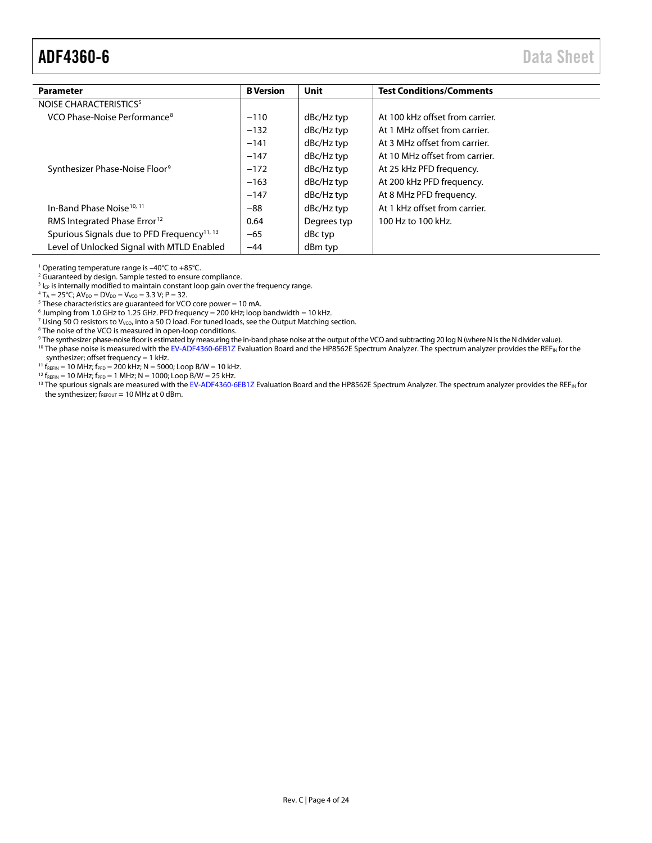# <span id="page-3-0"></span>ADF4360-6 Data Sheet

| <b>Parameter</b>                                        | <b>B</b> Version | Unit        | <b>Test Conditions/Comments</b> |
|---------------------------------------------------------|------------------|-------------|---------------------------------|
| NOISE CHARACTERISTICS <sup>5</sup>                      |                  |             |                                 |
| VCO Phase-Noise Performance <sup>8</sup>                | $-110$           | dBc/Hz typ  | At 100 kHz offset from carrier. |
|                                                         | $-132$           | dBc/Hz typ  | At 1 MHz offset from carrier.   |
|                                                         | $-141$           | dBc/Hz typ  | At 3 MHz offset from carrier.   |
|                                                         | $-147$           | dBc/Hz typ  | At 10 MHz offset from carrier.  |
| Synthesizer Phase-Noise Floor <sup>9</sup>              | $-172$           | dBc/Hz typ  | At 25 kHz PFD frequency.        |
|                                                         | $-163$           | dBc/Hz typ  | At 200 kHz PFD frequency.       |
|                                                         | $-147$           | dBc/Hz typ  | At 8 MHz PFD frequency.         |
| In-Band Phase Noise <sup>10, 11</sup>                   | $-88$            | dBc/Hz typ  | At 1 kHz offset from carrier.   |
| RMS Integrated Phase Error <sup>12</sup>                | 0.64             | Degrees typ | 100 Hz to 100 kHz.              |
| Spurious Signals due to PFD Frequency <sup>11, 13</sup> | $-65$            | dBc typ     |                                 |
| Level of Unlocked Signal with MTLD Enabled              | $-44$            | dBm typ     |                                 |

<sup>1</sup> Operating temperature range is –40°C to +85°C.

<sup>2</sup> Guaranteed by design. Sample tested to ensure compliance.

 $3$  I<sub>CP</sub> is internally modified to maintain constant loop gain over the frequency range.

 $4 T_A = 25^{\circ}$ C; A $V_{DD} = DV_{DD} = V_{VCO} = 3.3 V$ ; P = 32.

 $5$  These characteristics are guaranteed for VCO core power = 10 mA.

 $6$  Jumping from 1.0 GHz to 1.25 GHz. PFD frequency = 200 kHz; loop bandwidth = 10 kHz.

<sup>7</sup> Using 50 Ω resistors to V<sub>VCO</sub>, into a 50 Ω load. For tuned loads, see th[e Output Matching](#page-21-1) section.

<sup>8</sup> The noise of the VCO is measured in open-loop conditions.

- 9 The synthesizer phase-noise floor is estimated by measuring the in-band phase noise at the output of the VCO and subtracting 20 log N (where N is the N divider value).
- <sup>10</sup> The phase noise is measured with th[e EV-ADF4360-6EB1Z](http://www.analog.com/adf4360-6?doc=adf4360-6.pdf) Evaluation Board and the HP8562E Spectrum Analyzer. The spectrum analyzer provides the REF<sub>IN</sub> for the synthesizer; offset frequency = 1 kHz.

 $11$  f<sub>REFIN</sub> = 10 MHz; f<sub>PFD</sub> = 200 kHz; N = 5000; Loop B/W = 10 kHz.

 $12 f_{REFIN} = 10 MHz$ ;  $f_{PFD} = 1 MHz$ ;  $N = 1000$ ; Loop B/W = 25 kHz.

<sup>13</sup> The spurious signals are measured with th[e EV-ADF4360-6EB1Z](http://www.analog.com/adf4360-6?doc=adf4360-6.pdf) Evaluation Board and the HP8562E Spectrum Analyzer. The spectrum analyzer provides the REF<sub>IN</sub> for the synthesizer;  $f_{\text{REFOUT}} = 10 \text{ MHz at } 0 \text{ dBm}$ .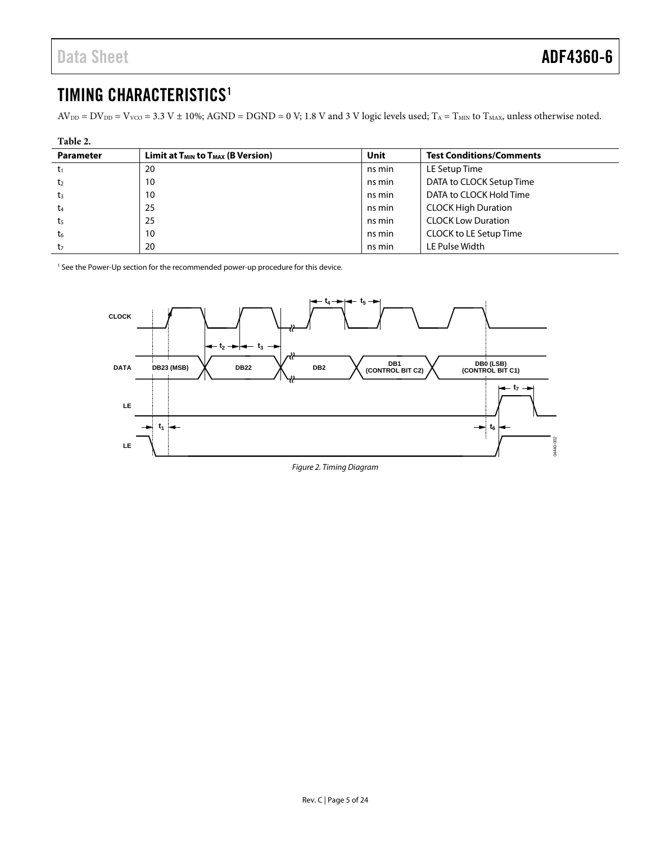# <span id="page-4-0"></span>TIMING CHARACTERISTICS<sup>1</sup>

 $AV_{DD} = DV_{DD} = V_{VCO} = 3.3 V \pm 10\%$ ; AGND = DGND = 0 V; 1.8 V and 3 V logic levels used; T<sub>A</sub> = T<sub>MIN</sub> to T<sub>MAX</sub>, unless otherwise noted.

| Table 2.         |                                             |        |                                 |  |
|------------------|---------------------------------------------|--------|---------------------------------|--|
| <b>Parameter</b> | Limit at $T_{MIN}$ to $T_{MAX}$ (B Version) | Unit   | <b>Test Conditions/Comments</b> |  |
| t1               | 20                                          | ns min | LE Setup Time                   |  |
| t <sub>2</sub>   | 10                                          | ns min | DATA to CLOCK Setup Time        |  |
| $t_3$            | 10                                          | ns min | DATA to CLOCK Hold Time         |  |
| t <sub>4</sub>   | 25                                          | ns min | <b>CLOCK High Duration</b>      |  |
| t <sub>5</sub>   | 25                                          | ns min | <b>CLOCK Low Duration</b>       |  |
| t <sub>6</sub>   | 10                                          | ns min | CLOCK to LE Setup Time          |  |
| t,               | 20                                          | ns min | LE Pulse Width                  |  |

<sup>1</sup> See th[e Power-Up](#page-15-0) section for the recommended power-up procedure for this device.

<span id="page-4-1"></span>

*Figure 2. Timing Diagram*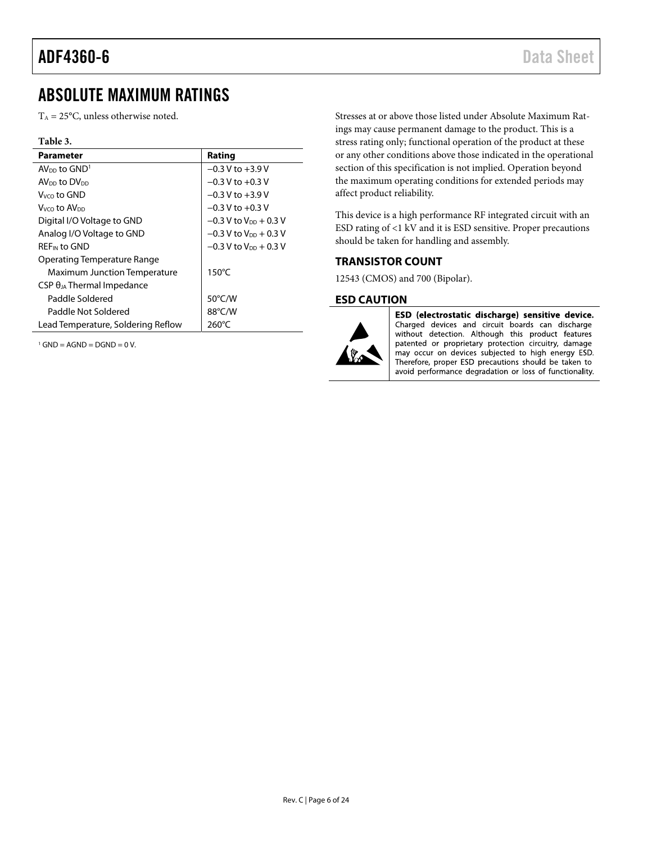# <span id="page-5-0"></span>ABSOLUTE MAXIMUM RATINGS

 $T_A = 25$ °C, unless otherwise noted.

#### **Table 3.**

| <b>Parameter</b>                     | Rating                               |
|--------------------------------------|--------------------------------------|
| $AV_{DD}$ to $GND1$                  | $-0.3$ V to $+3.9$ V                 |
| AV <sub>DD</sub> to DV <sub>DD</sub> | $-0.3$ V to $+0.3$ V                 |
| Vyco to GND                          | $-0.3$ V to $+3.9$ V                 |
| Vvco t <b>o AV</b> on                | $-0.3$ V to $+0.3$ V                 |
| Digital I/O Voltage to GND           | $-0.3$ V to V <sub>pp</sub> + 0.3 V  |
| Analog I/O Voltage to GND            | $-0.3$ V to V <sub>pp</sub> $+0.3$ V |
| <b>REF<sub>IN</sub></b> to GND       | $-0.3$ V to V <sub>pp</sub> + 0.3 V  |
| Operating Temperature Range          |                                      |
| <b>Maximum Junction Temperature</b>  | $150^{\circ}$ C                      |
| $CSP \theta_{JA}$ Thermal Impedance  |                                      |
| Paddle Soldered                      | $50^{\circ}$ C/W                     |
| Paddle Not Soldered                  | 88°C/W                               |
| Lead Temperature, Soldering Reflow   | $260^{\circ}$ C                      |

 $1$  GND = AGND = DGND = 0 V.

Stresses at or above those listed under Absolute Maximum Ratings may cause permanent damage to the product. This is a stress rating only; functional operation of the product at these or any other conditions above those indicated in the operational section of this specification is not implied. Operation beyond the maximum operating conditions for extended periods may affect product reliability.

This device is a high performance RF integrated circuit with an ESD rating of <1 kV and it is ESD sensitive. Proper precautions should be taken for handling and assembly.

#### <span id="page-5-1"></span>**TRANSISTOR COUNT**

12543 (CMOS) and 700 (Bipolar).

#### <span id="page-5-2"></span>**ESD CAUTION**



ESD (electrostatic discharge) sensitive device. Charged devices and circuit boards can discharge without detection. Although this product features patented or proprietary protection circuitry, damage may occur on devices subjected to high energy ESD. Therefore, proper ESD precautions should be taken to avoid performance degradation or loss of functionality.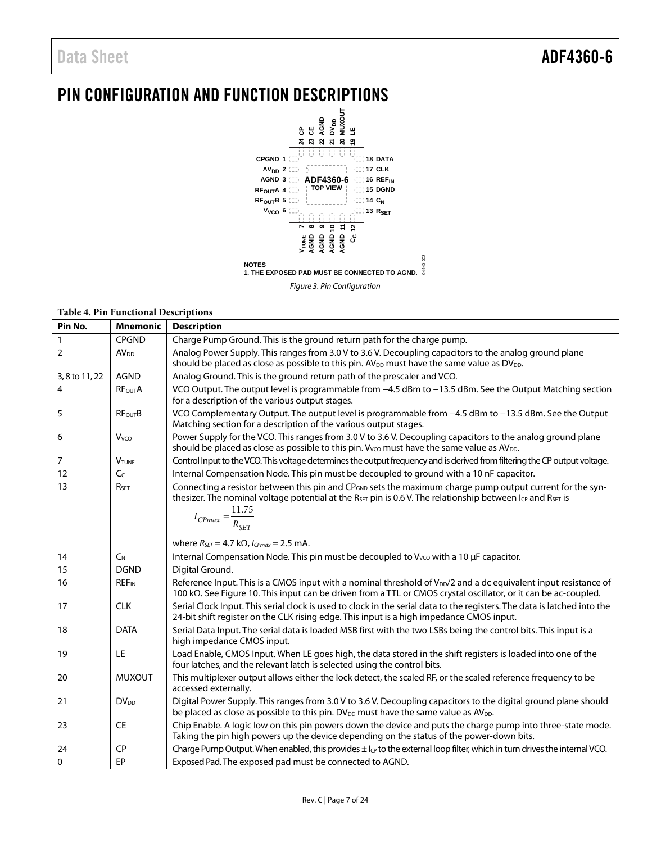# <span id="page-6-0"></span>PIN CONFIGURATION AND FUNCTION DESCRIPTIONS



|  |  | <b>Table 4. Pin Functional Descriptions</b> |
|--|--|---------------------------------------------|
|--|--|---------------------------------------------|

| Pin No.        | <b>Mnemonic</b>         | <b>Description</b>                                                                                                                                                                                                                                                                                             |
|----------------|-------------------------|----------------------------------------------------------------------------------------------------------------------------------------------------------------------------------------------------------------------------------------------------------------------------------------------------------------|
| $\mathbf{1}$   | <b>CPGND</b>            | Charge Pump Ground. This is the ground return path for the charge pump.                                                                                                                                                                                                                                        |
| 2              | <b>AV<sub>DD</sub></b>  | Analog Power Supply. This ranges from 3.0 V to 3.6 V. Decoupling capacitors to the analog ground plane<br>should be placed as close as possible to this pin. AV <sub>DD</sub> must have the same value as DV <sub>DD</sub> .                                                                                   |
| 3, 8 to 11, 22 | <b>AGND</b>             | Analog Ground. This is the ground return path of the prescaler and VCO.                                                                                                                                                                                                                                        |
| 4              | <b>RFoutA</b>           | VCO Output. The output level is programmable from -4.5 dBm to -13.5 dBm. See the Output Matching section<br>for a description of the various output stages.                                                                                                                                                    |
| 5              | <b>RFourB</b>           | VCO Complementary Output. The output level is programmable from -4.5 dBm to -13.5 dBm. See the Output<br>Matching section for a description of the various output stages.                                                                                                                                      |
| 6              | V <sub>vco</sub>        | Power Supply for the VCO. This ranges from 3.0 V to 3.6 V. Decoupling capacitors to the analog ground plane<br>should be placed as close as possible to this pin. $V_{VCO}$ must have the same value as $AV_{DD}$ .                                                                                            |
| 7              | <b>VTUNE</b>            | Control Input to the VCO. This voltage determines the output frequency and is derived from filtering the CP output voltage.                                                                                                                                                                                    |
| 12             | C <sub>C</sub>          | Internal Compensation Node. This pin must be decoupled to ground with a 10 nF capacitor.                                                                                                                                                                                                                       |
| 13             | RSET                    | Connecting a resistor between this pin and CP <sub>GND</sub> sets the maximum charge pump output current for the syn-<br>thesizer. The nominal voltage potential at the R <sub>SET</sub> pin is 0.6 V. The relationship between I <sub>CP</sub> and R <sub>SET</sub> is<br>$I_{CPmax} = \frac{11.75}{R_{SET}}$ |
|                |                         | where $R_{\text{SET}} = 4.7 \text{ k}\Omega$ , $I_{\text{CPmax}} = 2.5 \text{ mA}$ .                                                                                                                                                                                                                           |
| 14             | $C_{N}$                 | Internal Compensation Node. This pin must be decoupled to V <sub>VCO</sub> with a 10 µF capacitor.                                                                                                                                                                                                             |
| 15             | <b>DGND</b>             | Digital Ground.                                                                                                                                                                                                                                                                                                |
| 16             | <b>REF<sub>IN</sub></b> | Reference Input. This is a CMOS input with a nominal threshold of V <sub>DD</sub> /2 and a dc equivalent input resistance of<br>100 kΩ. See Figure 10. This input can be driven from a TTL or CMOS crystal oscillator, or it can be ac-coupled.                                                                |
| 17             | <b>CLK</b>              | Serial Clock Input. This serial clock is used to clock in the serial data to the registers. The data is latched into the<br>24-bit shift register on the CLK rising edge. This input is a high impedance CMOS input.                                                                                           |
| 18             | <b>DATA</b>             | Serial Data Input. The serial data is loaded MSB first with the two LSBs being the control bits. This input is a<br>high impedance CMOS input.                                                                                                                                                                 |
| 19             | LE                      | Load Enable, CMOS Input. When LE goes high, the data stored in the shift registers is loaded into one of the<br>four latches, and the relevant latch is selected using the control bits.                                                                                                                       |
| 20             | <b>MUXOUT</b>           | This multiplexer output allows either the lock detect, the scaled RF, or the scaled reference frequency to be<br>accessed externally.                                                                                                                                                                          |
| 21             | $DV_{DD}$               | Digital Power Supply. This ranges from 3.0 V to 3.6 V. Decoupling capacitors to the digital ground plane should<br>be placed as close as possible to this pin. DV <sub>DD</sub> must have the same value as AV <sub>DD</sub> .                                                                                 |
| 23             | <b>CE</b>               | Chip Enable. A logic low on this pin powers down the device and puts the charge pump into three-state mode.<br>Taking the pin high powers up the device depending on the status of the power-down bits.                                                                                                        |
| 24             | <b>CP</b>               | Charge Pump Output. When enabled, this provides ± lc <sub>p</sub> to the external loop filter, which in turn drives the internal VCO.                                                                                                                                                                          |
| $\mathbf{0}$   | EP                      | Exposed Pad. The exposed pad must be connected to AGND.                                                                                                                                                                                                                                                        |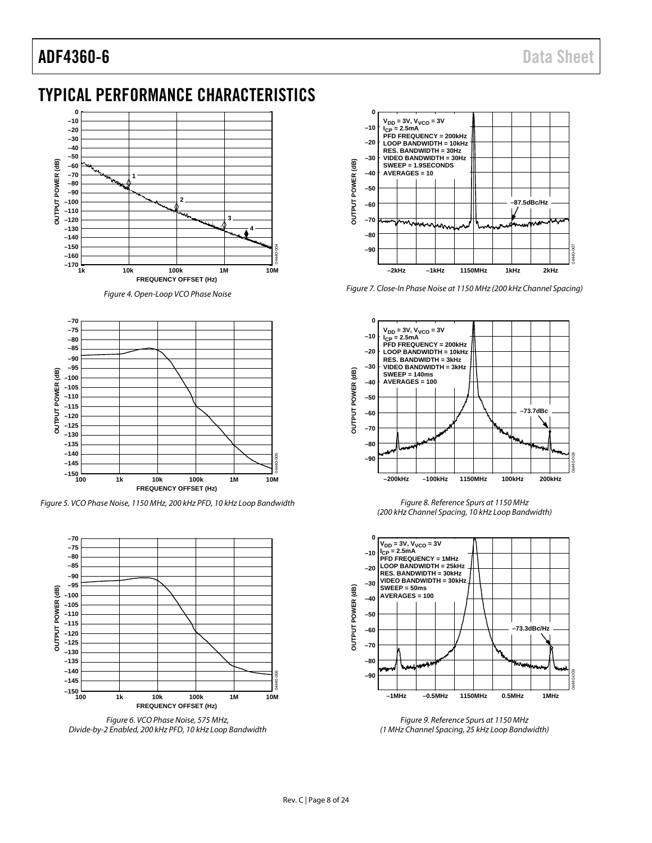# ADF4360-6 Data Sheet

# <span id="page-7-0"></span>TYPICAL PERFORMANCE CHARACTERISTICS



*Figure 4. Open-Loop VCO Phase Noise*



*Figure 5. VCO Phase Noise, 1150 MHz, 200 kHz PFD, 10 kHz Loop Bandwidth*



*Figure 6. VCO Phase Noise, 575 MHz, Divide-by-2 Enabled, 200 kHz PFD, 10 kHz Loop Bandwidth*



*Figure 7. Close-In Phase Noise at 1150 MHz (200 kHz Channel Spacing)*



*Figure 8. Reference Spurs at 1150 MHz (200 kHz Channel Spacing, 10 kHz Loop Bandwidth)*



*Figure 9. Reference Spurs at 1150 MHz (1 MHz Channel Spacing, 25 kHz Loop Bandwidth)*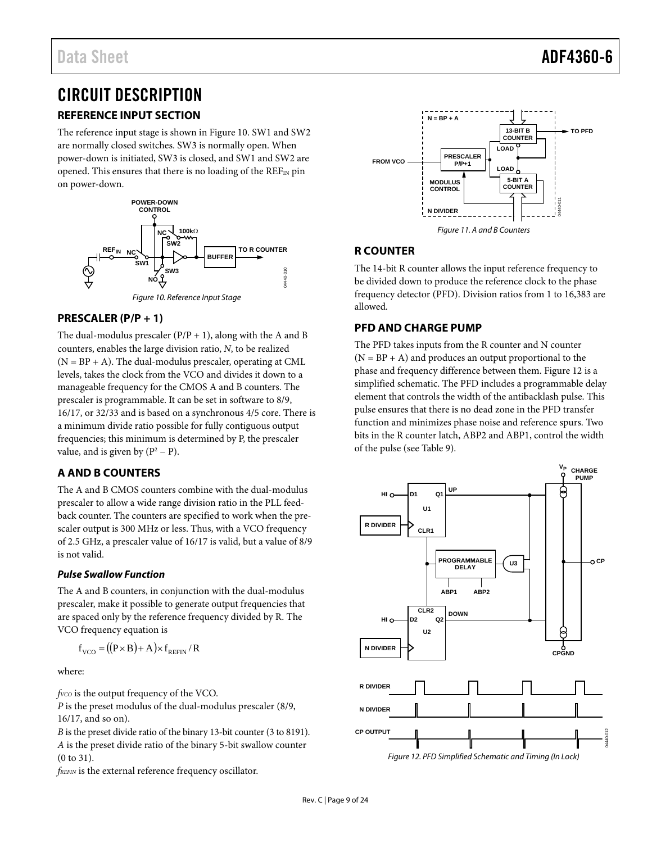# <span id="page-8-0"></span>CIRCUIT DESCRIPTION

# <span id="page-8-1"></span>**REFERENCE INPUT SECTION**

The reference input stage is shown i[n Figure 10.](#page-8-6) SW1 and SW2 are normally closed switches. SW3 is normally open. When power-down is initiated, SW3 is closed, and SW1 and SW2 are opened. This ensures that there is no loading of the  $REF_{IN}$  pin on power-down.



#### <span id="page-8-6"></span><span id="page-8-2"></span>**PRESCALER (P/P + 1)**

The dual-modulus prescaler  $(P/P + 1)$ , along with the A and B counters, enables the large division ratio, *N*, to be realized  $(N = BP + A)$ . The dual-modulus prescaler, operating at CML levels, takes the clock from the VCO and divides it down to a manageable frequency for the CMOS A and B counters. The prescaler is programmable. It can be set in software to 8/9, 16/17, or 32/33 and is based on a synchronous 4/5 core. There is a minimum divide ratio possible for fully contiguous output frequencies; this minimum is determined by P, the prescaler value, and is given by  $(P^2 - P)$ .

# <span id="page-8-3"></span>**A AND B COUNTERS**

The A and B CMOS counters combine with the dual-modulus prescaler to allow a wide range division ratio in the PLL feedback counter. The counters are specified to work when the prescaler output is 300 MHz or less. Thus, with a VCO frequency of 2.5 GHz, a prescaler value of 16/17 is valid, but a value of 8/9 is not valid.

#### **Pulse Swallow Function**

The A and B counters, in conjunction with the dual-modulus prescaler, make it possible to generate output frequencies that are spaced only by the reference frequency divided by R. The VCO frequency equation is

$$
f_{\rm VCO} = ((P \times B) + A) \times f_{\rm REFIN} / R
$$

where:

*f*<sub>VCO</sub> is the output frequency of the VCO.

*P* is the preset modulus of the dual-modulus prescaler (8/9, 16/17, and so on).

*B* is the preset divide ratio of the binary 13-bit counter (3 to 8191). *A* is the preset divide ratio of the binary 5-bit swallow counter (0 to 31).

*fREFIN* is the external reference frequency oscillator.



# <span id="page-8-4"></span>**R COUNTER**

The 14-bit R counter allows the input reference frequency to be divided down to produce the reference clock to the phase frequency detector (PFD). Division ratios from 1 to 16,383 are allowed.

# <span id="page-8-5"></span>**PFD AND CHARGE PUMP**

The PFD takes inputs from the R counter and N counter  $(N = BP + A)$  and produces an output proportional to the phase and frequency difference between them. [Figure 12 i](#page-8-7)s a simplified schematic. The PFD includes a programmable delay element that controls the width of the antibacklash pulse. This pulse ensures that there is no dead zone in the PFD transfer function and minimizes phase noise and reference spurs. Two bits in the R counter latch, ABP2 and ABP1, control the width of the pulse (see [Table 9\)](#page-14-0).



<span id="page-8-7"></span>Figure 12. PFD Simplified Schematic and Timing (In Lock)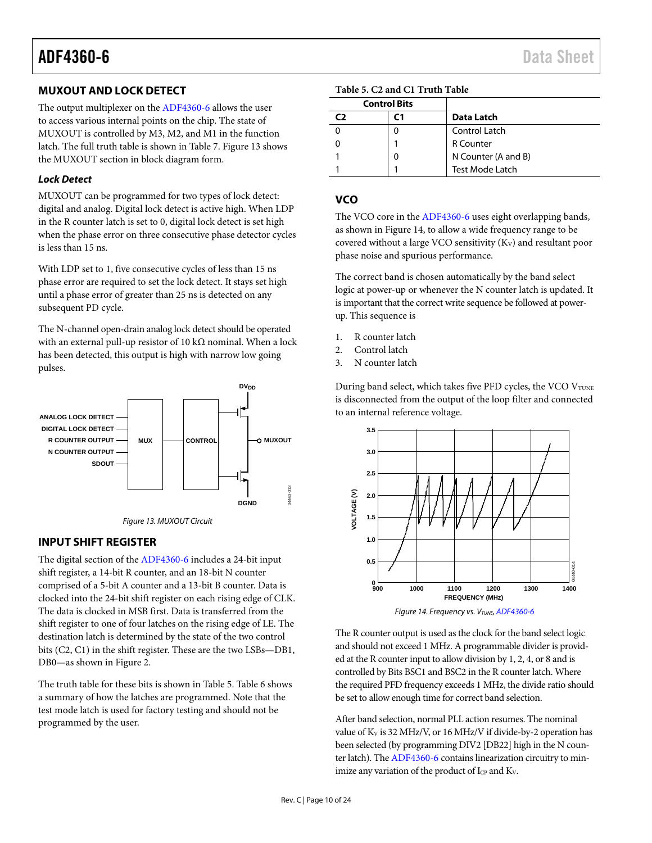# <span id="page-9-0"></span>**MUXOUT AND LOCK DETECT**

The output multiplexer on th[e ADF4360-6](http://www.analog.com/adf4360-6?doc=adf4360-6.pdf) allows the user to access various internal points on the chip. The state of MUXOUT is controlled by M3, M2, and M1 in the function latch. The full truth table is shown in [Table 7.](#page-12-0) [Figure 13](#page-9-3) shows the MUXOUT section in block diagram form.

#### *Lock Detect*

MUXOUT can be programmed for two types of lock detect: digital and analog. Digital lock detect is active high. When LDP in the R counter latch is set to 0, digital lock detect is set high when the phase error on three consecutive phase detector cycles is less than 15 ns.

With LDP set to 1, five consecutive cycles of less than 15 ns phase error are required to set the lock detect. It stays set high until a phase error of greater than 25 ns is detected on any subsequent PD cycle.

The N-channel open-drain analog lock detect should be operated with an external pull-up resistor of 10 k $\Omega$  nominal. When a lock has been detected, this output is high with narrow low going pulses.



*Figure 13. MUXOUT Circuit*

## <span id="page-9-3"></span><span id="page-9-1"></span>**INPUT SHIFT REGISTER**

The digital section of th[e ADF4360-6](http://www.analog.com/adf4360-6?doc=adf4360-6.pdf) includes a 24-bit input shift register, a 14-bit R counter, and an 18-bit N counter comprised of a 5-bit A counter and a 13-bit B counter. Data is clocked into the 24-bit shift register on each rising edge of CLK. The data is clocked in MSB first. Data is transferred from the shift register to one of four latches on the rising edge of LE. The destination latch is determined by the state of the two control bits (C2, C1) in the shift register. These are the two LSBs—DB1, DB0—as shown i[n Figure 2.](#page-4-1)

The truth table for these bits is shown in [Table 5.](#page-9-4) [Table 6](#page-11-1) shows a summary of how the latches are programmed. Note that the test mode latch is used for factory testing and should not be programmed by the user.

<span id="page-9-4"></span>

| <b>Control Bits</b> |   |                        |
|---------------------|---|------------------------|
| СЭ                  |   | Data Latch             |
|                     |   | Control Latch          |
|                     |   | <b>R</b> Counter       |
|                     | 0 | N Counter (A and B)    |
|                     |   | <b>Test Mode Latch</b> |

# <span id="page-9-2"></span>**VCO**

The VCO core in th[e ADF4360-6](http://www.analog.com/adf4360-6?doc=adf4360-6.pdf) uses eight overlapping bands, as shown i[n Figure 14,](#page-9-5) to allow a wide frequency range to be covered without a large VCO sensitivity  $(K_V)$  and resultant poor phase noise and spurious performance.

The correct band is chosen automatically by the band select logic at power-up or whenever the N counter latch is updated. It is important that the correct write sequence be followed at powerup. This sequence is

- 1. R counter latch
- 2. Control latch
- 3. N counter latch

During band select, which takes five PFD cycles, the VCO VTUNE is disconnected from the output of the loop filter and connected to an internal reference voltage.



<span id="page-9-5"></span>The R counter output is used as the clock for the band select logic and should not exceed 1 MHz. A programmable divider is provided at the R counter input to allow division by 1, 2, 4, or 8 and is controlled by Bits BSC1 and BSC2 in the R counter latch. Where the required PFD frequency exceeds 1 MHz, the divide ratio should be set to allow enough time for correct band selection.

After band selection, normal PLL action resumes. The nominal value of KV is 32 MHz/V, or 16 MHz/V if divide-by-2 operation has been selected (by programming DIV2 [DB22] high in the N counter latch). Th[e ADF4360-6](http://www.analog.com/adf4360-6?doc=adf4360-6.pdf) contains linearization circuitry to minimize any variation of the product of Ic<sub>P</sub> and K<sub>V</sub>.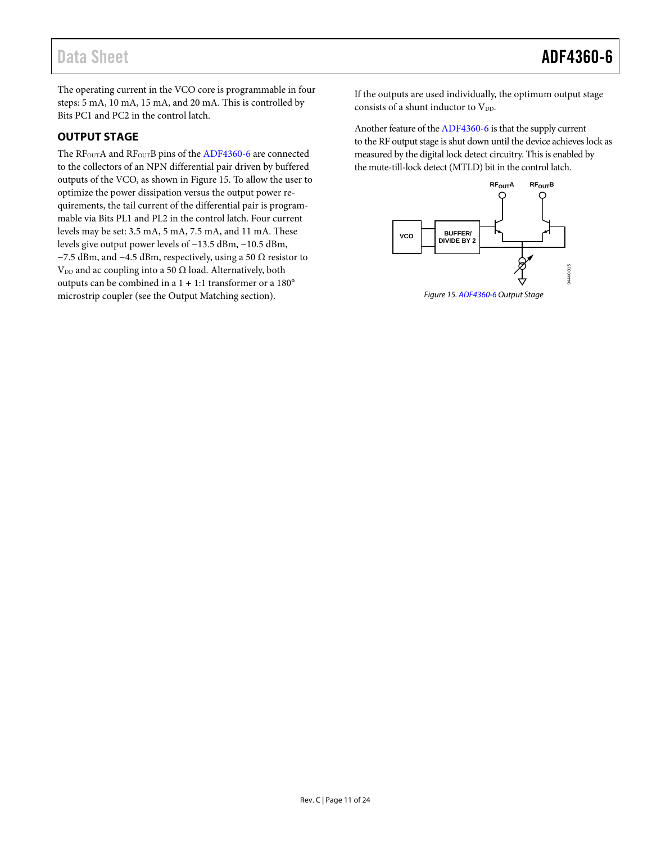The operating current in the VCO core is programmable in four steps: 5 mA, 10 mA, 15 mA, and 20 mA. This is controlled by Bits PC1 and PC2 in the control latch.

# <span id="page-10-0"></span>**OUTPUT STAGE**

The RF<sub>OUT</sub>A and RF<sub>OUT</sub>B pins of the [ADF4360-6](http://www.analog.com/adf4360-6?doc=adf4360-6.pdf) are connected to the collectors of an NPN differential pair driven by buffered outputs of the VCO, as shown i[n Figure 15.](#page-10-1) To allow the user to optimize the power dissipation versus the output power requirements, the tail current of the differential pair is programmable via Bits PL1 and PL2 in the control latch. Four current levels may be set: 3.5 mA, 5 mA, 7.5 mA, and 11 mA. These levels give output power levels of −13.5 dBm, −10.5 dBm, −7.5 dBm, and −4.5 dBm, respectively, using a 50  $\Omega$  resistor to V<sub>DD</sub> and ac coupling into a 50  $\Omega$  load. Alternatively, both outputs can be combined in a 1 + 1:1 transformer or a 180° microstrip coupler (see the [Output Matching](#page-21-1) section).

If the outputs are used individually, the optimum output stage consists of a shunt inductor to  $V_{DD}$ .

Another feature of th[e ADF4360-6](http://www.analog.com/adf4360-6?doc=adf4360-6.pdf) is that the supply current to the RF output stage is shut down until the device achieves lock as measured by the digital lock detect circuitry. This is enabled by the mute-till-lock detect (MTLD) bit in the control latch.



<span id="page-10-1"></span>*Figure 15[. ADF4360-6](http://www.analog.com/adf4360-6?doc=adf4360-6.pdf) Output Stage*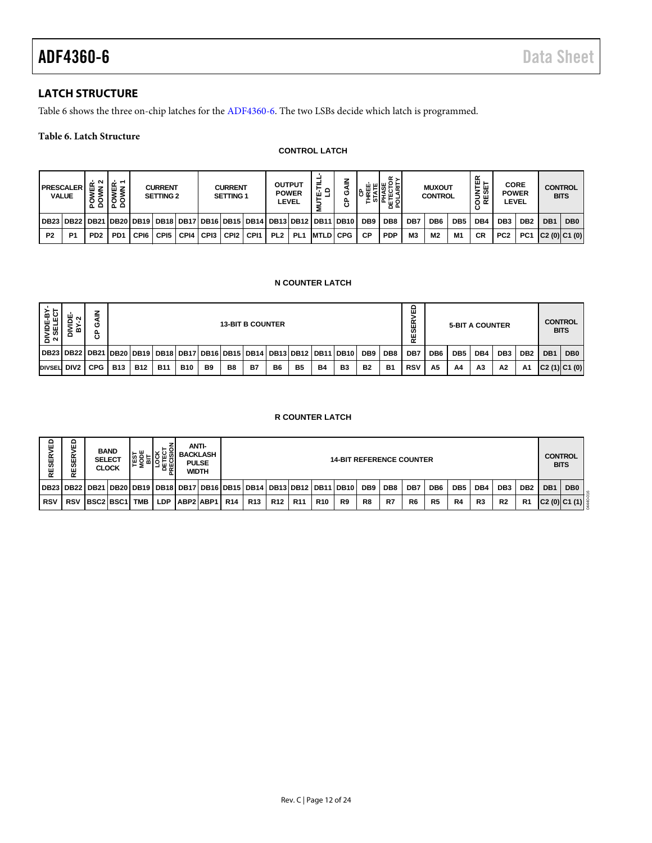# <span id="page-11-0"></span>**LATCH STRUCTURE**

[Table 6](#page-11-1) shows the three on-chip latches for th[e ADF4360-6.](http://www.analog.com/adf4360-6?doc=adf4360-6.pdf) The two LSBs decide which latch is programmed.

### <span id="page-11-1"></span>**Table 6. Latch Structure**

#### **CONTROL LATCH**

|                | <b>PRESCALER</b><br><b>VALUE</b>                                                                | $\sim$<br>۰<br>٥<br>ᅐᅌ      | ╷空下<br>ÿξ<br>$\circ$<br>ᄫᄫ |      | <b>CURRENT</b><br><b>SETTING 2</b> |      |        | <b>CURRENT</b><br>SETTING 1 |                  |                 | <b>OUTPUT</b><br><b>POWER</b><br>LEVEL | ≓<br>운로           | z<br>ပ<br>ී | ш<br>ပ          | α,<br>喉눈<br>ш<br>인도필의 |                | <b>MUXOUT</b><br><b>CONTROL</b> |     | 없<br>통쓺<br>ய<br>≃<br>o | <b>CORE</b><br><b>POWER</b> | LEVEL           | <b>CONTROL</b>  | <b>BITS</b>     |
|----------------|-------------------------------------------------------------------------------------------------|-----------------------------|----------------------------|------|------------------------------------|------|--------|-----------------------------|------------------|-----------------|----------------------------------------|-------------------|-------------|-----------------|-----------------------|----------------|---------------------------------|-----|------------------------|-----------------------------|-----------------|-----------------|-----------------|
|                | DB23   DB22   DB21   DB20   DB19   DB18   DB17   DB16   DB15   DB14   DB13   DB12   DB11   DB10 |                             |                            |      |                                    |      |        |                             |                  |                 |                                        |                   |             | DB <sub>9</sub> | DB <sub>8</sub>       | DB7            | DB <sub>6</sub>                 | DB5 | DB4                    | DB <sub>3</sub>             | DB <sub>2</sub> | DB <sub>1</sub> | DB <sub>0</sub> |
| P <sub>2</sub> | P <sub>1</sub>                                                                                  | P <sub>D</sub> <sub>2</sub> | PD <sub>1</sub>            | CPI6 | CPI5                               | CPI4 | I CPI3 | CPI <sub>2</sub>            | CP <sub>11</sub> | PL <sub>2</sub> | PL <sub>1</sub>                        | <b>IMTLDI CPG</b> |             | СP              | <b>PDP</b>            | M <sub>3</sub> | M <sub>2</sub>                  | M1  | <b>CR</b>              | PC <sub>2</sub>             | PC <sub>1</sub> | C2(0) C1(0)     |                 |

#### **N COUNTER LATCH**

| DIVIDE-BY-<br>2 SELECT | DIVIDE<br>ิ<br>٠r<br>m           | <b>GAIN</b><br>සි            |              |            |                                                                                 |                                                 |                          | <b>13-BIT B COUNTER</b> |           |           |                        |           |                                 |                 |                 | ۵<br>><br>Æ<br><b>S</b><br>RE |                 | <b>5-BIT A COUNTER</b> |     |                 |                 |     | <b>CONTROL</b><br><b>BITS</b> |
|------------------------|----------------------------------|------------------------------|--------------|------------|---------------------------------------------------------------------------------|-------------------------------------------------|--------------------------|-------------------------|-----------|-----------|------------------------|-----------|---------------------------------|-----------------|-----------------|-------------------------------|-----------------|------------------------|-----|-----------------|-----------------|-----|-------------------------------|
|                        | DB23   DB22   DB21   DB20   DB19 |                              |              |            |                                                                                 |                                                 | DB18 DB17 DB16 DB15 DB14 |                         |           |           | <b>DB13 DB12</b>       |           | <b>DB11 DB10</b>                | DB <sub>9</sub> | DB <sub>8</sub> | DB7                           | DB <sub>6</sub> | DB <sub>5</sub>        | DB4 | DB <sub>3</sub> | DB <sub>2</sub> | DB1 | DB <sub>0</sub>               |
| DIVSEL DIV2            |                                  | <b>CPG</b>                   | <b>B13</b>   | <b>B12</b> | <b>B11</b>                                                                      | <b>B10</b>                                      | B <sub>9</sub>           | B8                      | <b>B7</b> | <b>B6</b> | <b>B5</b>              | <b>B4</b> | B <sub>3</sub>                  | <b>B2</b>       | <b>B1</b>       | <b>RSV</b>                    | A <sub>5</sub>  | A4                     | A3  | A2              | Α1              |     | C2(1) C1(0)                   |
|                        |                                  |                              |              |            |                                                                                 |                                                 |                          |                         |           |           | <b>R COUNTER LATCH</b> |           |                                 |                 |                 |                               |                 |                        |     |                 |                 |     |                               |
| RESERVED               | <b>RVED</b><br>RESEI             | <b>BAND</b><br><b>SELECT</b> | <b>CLOCK</b> |            | <b>TEST<br/> MODE<br/> MODE<br/> LOCK<br/> DETECT<br/> DETECT<br/> PRECISIC</b> | <b>ANTI-</b><br><b>BACKLASH</b><br><b>PULSE</b> | WIDTH                    |                         |           |           |                        |           | <b>14-BIT REFERENCE COUNTER</b> |                 |                 |                               |                 |                        |     |                 |                 |     | <b>CONTROL</b><br><b>BITS</b> |

#### **R COUNTER LATCH**

| 읎<br><b>RESERV</b> | ш<br>ᄔ<br>ഗ                                                           |           | <b>BAND</b><br><b>SELECT</b><br><b>CLOCK</b> | ш<br>⊢≥    | ម្លេ<br>ہ ہ |           | ANTI-<br><b>BACKLASH</b><br><b>PULSE</b><br>WIDTH |            | <b>14-BIT REFERENCE COUNTER</b> |     |                 |            |    |     |     |                |                 |                 |                 |                 | <b>CONTROL</b><br><b>BITS</b> |                 |                 |
|--------------------|-----------------------------------------------------------------------|-----------|----------------------------------------------|------------|-------------|-----------|---------------------------------------------------|------------|---------------------------------|-----|-----------------|------------|----|-----|-----|----------------|-----------------|-----------------|-----------------|-----------------|-------------------------------|-----------------|-----------------|
|                    | DB23 DB22 DB21 DB20 DB19 DB18 DB17 DB16 DB15 DB14 DB13 DB12 DB11 DB10 |           |                                              |            |             |           |                                                   |            |                                 |     |                 |            |    | DB9 | DB8 | DB7            | DB <sub>6</sub> | DB <sub>5</sub> | DB <sub>4</sub> | DB <sub>3</sub> | DB <sub>2</sub>               | DB <sub>1</sub> | DB <sub>0</sub> |
| <b>RSV</b>         | <b>RSV</b>                                                            | BSC2 BSC1 |                                              | <b>TMB</b> | <b>LDP</b>  | ABP2 ABP1 |                                                   | <b>R14</b> | <b>R13</b>                      | R12 | R <sub>11</sub> | <b>R10</b> | R9 | R8  | R7  | R <sub>6</sub> | R <sub>5</sub>  | R4              | R <sub>3</sub>  | R <sub>2</sub>  | R <sub>1</sub>                |                 | C2 (0)  C1 (1)  |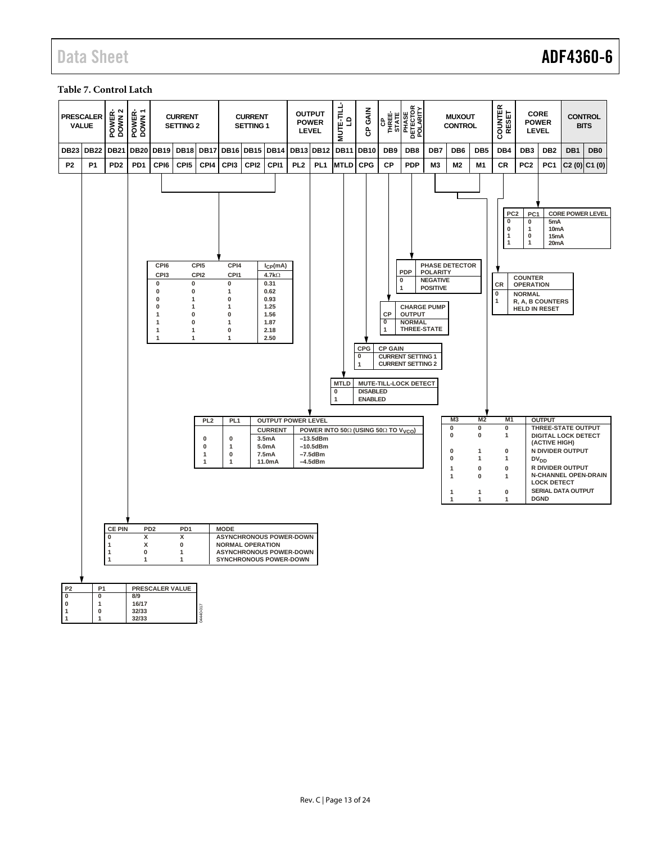# Data Sheet **ADF4360-6**

# <span id="page-12-0"></span>**Table 7. Control Latch**

| <b>PRESCALER</b>            | <b>VALUE</b>                | $\sim$<br>POWER-<br>DOWN 2                                                    | POWER-<br>DOWN 1                                                 |                                                                                             | <b>CURRENT</b><br><b>SETTING 2</b>                                                                 |                                                                                                                                                                                            |                                                                                                                                                                                              | <b>CURRENT</b><br><b>SETTING 1</b> |                                                                                                                                                      |                                                                                                                         | <b>OUTPUT</b><br><b>POWER</b><br><b>LEVEL</b>                  | <b>MUTE-TILL</b><br>$\mathsf{P}$                                    | GAIN<br>ဇ                                     | THREE-<br>THREE-<br>STATE                             | PHASE<br>DETECTOR<br>POLARITY                                                                                                                                                    |                                                       | <b>MUXOUT</b><br><b>CONTROL</b>                                                                         |                                                                                                 | COUNTER<br>RESET                                                                                                                                                                                         |                                                                                                                                                           | <b>CORE</b><br><b>POWER</b><br><b>LEVEL</b>                                                                                                      |                                                                                                                | <b>CONTROL</b><br><b>BITS</b>                   |
|-----------------------------|-----------------------------|-------------------------------------------------------------------------------|------------------------------------------------------------------|---------------------------------------------------------------------------------------------|----------------------------------------------------------------------------------------------------|--------------------------------------------------------------------------------------------------------------------------------------------------------------------------------------------|----------------------------------------------------------------------------------------------------------------------------------------------------------------------------------------------|------------------------------------|------------------------------------------------------------------------------------------------------------------------------------------------------|-------------------------------------------------------------------------------------------------------------------------|----------------------------------------------------------------|---------------------------------------------------------------------|-----------------------------------------------|-------------------------------------------------------|----------------------------------------------------------------------------------------------------------------------------------------------------------------------------------|-------------------------------------------------------|---------------------------------------------------------------------------------------------------------|-------------------------------------------------------------------------------------------------|----------------------------------------------------------------------------------------------------------------------------------------------------------------------------------------------------------|-----------------------------------------------------------------------------------------------------------------------------------------------------------|--------------------------------------------------------------------------------------------------------------------------------------------------|----------------------------------------------------------------------------------------------------------------|-------------------------------------------------|
| <b>DB23</b>                 | <b>DB22</b>                 | <b>DB21</b>                                                                   | <b>DB20</b>                                                      | <b>DB19</b>                                                                                 | <b>DB18</b>                                                                                        | <b>DB17</b>                                                                                                                                                                                | <b>DB16</b>                                                                                                                                                                                  |                                    | <b>DB15 DB14</b>                                                                                                                                     |                                                                                                                         | <b>DB13 DB12</b>                                               | <b>DB11</b>                                                         | <b>DB10</b>                                   | DB <sub>9</sub>                                       | DB <sub>8</sub>                                                                                                                                                                  | DB7                                                   | DB <sub>6</sub>                                                                                         | DB <sub>5</sub>                                                                                 | DB4                                                                                                                                                                                                      | DB <sub>3</sub>                                                                                                                                           | DB <sub>2</sub>                                                                                                                                  | DB <sub>1</sub>                                                                                                | DB <sub>0</sub>                                 |
| P <sub>2</sub>              | P <sub>1</sub>              | PD <sub>2</sub>                                                               | PD <sub>1</sub>                                                  | CPI6                                                                                        | CPI <sub>5</sub>                                                                                   | CPI4                                                                                                                                                                                       | CPI3                                                                                                                                                                                         | CPI <sub>2</sub>                   | CPI1                                                                                                                                                 | PL <sub>2</sub>                                                                                                         | PL <sub>1</sub>                                                | <b>MTLD</b>                                                         | <b>CPG</b>                                    | <b>CP</b>                                             | <b>PDP</b>                                                                                                                                                                       | M <sub>3</sub>                                        | M <sub>2</sub>                                                                                          | M <sub>1</sub>                                                                                  | CR                                                                                                                                                                                                       | PC <sub>2</sub>                                                                                                                                           | PC <sub>1</sub>                                                                                                                                  | C2(0)                                                                                                          | C1(0)                                           |
| P <sub>2</sub><br>$\pmb{0}$ | P <sub>1</sub><br>$\pmb{0}$ | <b>CE PIN</b><br>0<br>$\mathbf{1}$<br>$\mathbf{1}$<br>$\overline{\mathbf{1}}$ | PD <sub>2</sub><br>$\overline{\mathsf{x}}$<br>х<br>$\bf{0}$<br>1 | CPI6<br>CPI3<br>0<br>0<br>$\pmb{0}$<br>0<br>$\mathbf 1$<br>$\mathbf 1$<br>$\mathbf{1}$<br>1 | PD <sub>1</sub><br>$\overline{\mathbf{x}}$<br>0<br>$\mathbf{1}$<br>$\mathbf{1}$<br>PRESCALER VALUE | CPI <sub>5</sub><br>CPI <sub>2</sub><br>0<br>$\bf{0}$<br>1<br>1<br>$\mathbf{0}$<br>$\mathbf{0}$<br>$\mathbf{1}$<br>1<br>PL <sub>2</sub><br>0<br>$\bf{0}$<br>$\mathbf{1}$<br>$\overline{1}$ | CPI4<br>CPI1<br>0<br>$\mathbf{1}$<br>0<br>1<br>$\bf{0}$<br>1<br>$\bf{0}$<br>1<br>PL <sub>1</sub><br>$\bf{0}$<br>$\overline{1}$<br>$\mathbf 0$<br>1<br><b>MODE</b><br><b>NORMAL OPERATION</b> |                                    | $I_{CP}(mA)$<br>4.7 $k\Omega$<br>0.31<br>0.62<br>0.93<br>1.25<br>1.56<br>1.87<br>2.18<br>2.50<br><b>CURRENT</b><br>3.5mA<br>5.0mA<br>7.5mA<br>11.0mA | <b>OUTPUT POWER LEVEL</b><br><b>ASYNCHRONOUS POWER-DOWN</b><br><b>ASYNCHRONOUS POWER-DOWN</b><br>SYNCHRONOUS POWER-DOWN | $-13.5dBm$<br>$-10.5$ d $Bm$<br>$-7.5$ d $Bm$<br>$-4.5$ d $Bm$ | <b>MTLD</b><br>0<br>POWER INTO 50Ω (USING 50Ω TO V <sub>VCO</sub> ) | CPG<br>0<br><b>DISABLED</b><br><b>ENABLED</b> | CP<br>$\overline{0}$<br>$\mathbf 1$<br><b>CP GAIN</b> | PDP<br>0<br>$\mathbf{1}$<br><b>CHARGE PUMP</b><br><b>OUTPUT</b><br><b>NORMAL</b><br>THREE-STATE<br><b>CURRENT SETTING 1</b><br><b>CURRENT SETTING 2</b><br>MUTE-TILL-LOCK DETECT | <b>POLARITY</b><br><b>NEGATIVE</b><br><b>POSITIVE</b> | <b>PHASE DETECTOR</b><br>M <sub>3</sub><br>0<br>0<br>0<br>0<br>1<br>$\overline{1}$<br>$\mathbf{1}$<br>1 | M <sub>2</sub><br>0<br>0<br>1<br>$\mathbf{1}$<br>$\pmb{0}$<br>$\mathbf{0}$<br>$\mathbf{1}$<br>1 | PC <sub>2</sub><br>$\overline{\mathbf{0}}$<br>0<br>-1<br>$\overline{1}$<br><b>CR</b><br>$\overline{\mathbf{0}}$<br>1<br>M <sub>1</sub><br>0<br>1<br>$\bf{0}$<br>1<br>$\pmb{0}$<br>1<br>0<br>$\mathbf{1}$ | PC1<br>$\pmb{0}$<br>1<br>$\mathbf 0$<br>$\overline{1}$<br><b>COUNTER</b><br><b>OPERATION</b><br><b>NORMAL</b><br>R, A, B COUNTERS<br><b>HELD IN RESET</b> | 5mA<br>10 <sub>m</sub> A<br>15mA<br>20 <sub>m</sub> A<br><b>OUTPUT</b><br>(ACTIVE HIGH)<br>DV <sub>DD</sub><br><b>LOCK DETECT</b><br><b>DGND</b> | THREE-STATE OUTPUT<br><b>DIGITAL LOCK DETECT</b><br>N DIVIDER OUTPUT<br>R DIVIDER OUTPUT<br>SERIAL DATA OUTPUT | <b>CORE POWER LEVEL</b><br>N-CHANNEL OPEN-DRAIN |
| $\pmb{0}$                   |                             |                                                                               | 8/9                                                              |                                                                                             |                                                                                                    |                                                                                                                                                                                            |                                                                                                                                                                                              |                                    |                                                                                                                                                      |                                                                                                                         |                                                                |                                                                     |                                               |                                                       |                                                                                                                                                                                  |                                                       |                                                                                                         |                                                                                                 |                                                                                                                                                                                                          |                                                                                                                                                           |                                                                                                                                                  |                                                                                                                |                                                 |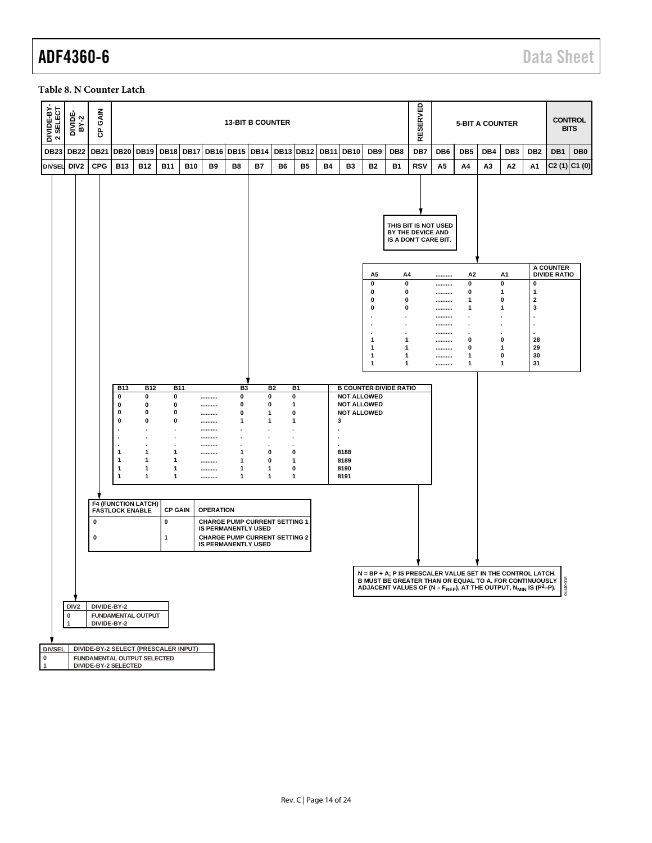# ADF4360-6 Data Sheet

#### <span id="page-13-0"></span>**Table 8. N Counter Latch**

| <b>DB20 DB19</b><br><b>DB18</b><br><b>DB23</b><br><b>DB22</b><br><b>DB21</b><br><b>DB17</b><br><b>DB16</b><br><b>DB15</b><br><b>DB14</b><br><b>DB13 DB12</b><br><b>DB11</b><br><b>DB10</b><br>DB <sub>9</sub><br>DB8<br>DB7<br>DB <sub>6</sub><br>DB <sub>5</sub><br>DB4<br>DB <sub>3</sub><br>DB <sub>2</sub><br>DB1<br>DB <sub>0</sub><br>DIV <sub>2</sub><br><b>CPG</b><br><b>B13</b><br><b>B12</b><br><b>B11</b><br><b>B10</b><br>B <sub>9</sub><br>B8<br><b>B4</b><br>B <sub>3</sub><br><b>B2</b><br><b>B1</b><br><b>RSV</b><br>A5<br>A <sub>3</sub><br>Α2<br>$C2(1)$ $C1(0)$<br><b>DIVSEL</b><br>B7<br>B6<br><b>B5</b><br>Α4<br>Α1<br>THIS BIT IS NOT USED<br>BY THE DEVICE AND<br>IS A DON'T CARE BIT.<br><b>A COUNTER</b><br><b>DIVIDE RATIO</b><br>А5<br>A4<br>A2<br>A1<br><br>$\mathbf 0$<br>0<br>0<br>0<br>0<br><br>0<br>0<br>0<br>1<br>1<br><br>0<br>1<br>0<br>$\overline{\mathbf{2}}$<br>0<br><br>0<br>3<br>0<br>$\mathbf{1}$<br>1<br><br>$\overline{a}$<br><br>$\blacksquare$<br>×<br>$\cdot$<br><br><br>28<br>$\mathbf 1$<br>$\mathbf 1$<br>0<br>0<br><br>29<br>1<br>$\mathbf 1$<br>0<br>1<br><br>30<br>1<br>$\mathbf 1$<br>1<br>0<br><br>$\mathbf{1}$<br>31<br>1<br>1<br>1<br><br><b>B COUNTER DIVIDE RATIO</b><br><b>B13</b><br><b>B12</b><br><b>B11</b><br>B <sub>3</sub><br><b>B2</b><br>B <sub>1</sub><br>0<br>0<br>0<br><b>NOT ALLOWED</b><br>0<br>0<br>0<br><br>0<br>0<br>0<br>0<br>0<br>$\mathbf{1}$<br><b>NOT ALLOWED</b><br><br>0<br>0<br>0<br>0<br>0<br><b>NOT ALLOWED</b><br>1<br><br>0<br>0<br>0<br>1<br>$\mathbf{1}$<br>3<br>1<br><br><br>$\cdot$<br>$\ddot{\phantom{0}}$<br>×<br>$\bullet$<br><br>$\bullet$<br>$\cdot$<br>$\bullet$<br><br>$\cdot$<br>$\ddot{\phantom{0}}$<br>$\cdot$<br>$\overline{\phantom{a}}$<br>$\cdot$<br>$\mathbf{1}$<br>1<br>1<br>0<br>0<br>8188<br>1<br><br>$\mathbf{1}$<br>1<br>1<br>0<br>$\mathbf{1}$<br>8189<br>1<br><br>$\mathbf{1}$<br>1<br>0<br>8190<br>$\mathbf{1}$<br>1<br>1<br><br>8191<br>1<br>$\mathbf{1}$<br>1<br>1<br>1<br>1<br><br><b>F4 (FUNCTION LATCH)</b><br><b>FASTLOCK ENABLE</b><br><b>CP GAIN</b><br><b>OPERATION</b><br>0<br><b>CHARGE PUMP CURRENT SETTING 1</b><br>0<br><b>IS PERMANENTLY USED</b><br>0<br>$\mathbf{1}$<br><b>CHARGE PUMP CURRENT SETTING 2</b><br><b>IS PERMANENTLY USED</b> |
|-------------------------------------------------------------------------------------------------------------------------------------------------------------------------------------------------------------------------------------------------------------------------------------------------------------------------------------------------------------------------------------------------------------------------------------------------------------------------------------------------------------------------------------------------------------------------------------------------------------------------------------------------------------------------------------------------------------------------------------------------------------------------------------------------------------------------------------------------------------------------------------------------------------------------------------------------------------------------------------------------------------------------------------------------------------------------------------------------------------------------------------------------------------------------------------------------------------------------------------------------------------------------------------------------------------------------------------------------------------------------------------------------------------------------------------------------------------------------------------------------------------------------------------------------------------------------------------------------------------------------------------------------------------------------------------------------------------------------------------------------------------------------------------------------------------------------------------------------------------------------------------------------------------------------------------------------------------------------------------------------------------------------------------------------------------------------------------------------------------------------------------------------------------------------------------------------------------------------------------------------------------------------------|
|                                                                                                                                                                                                                                                                                                                                                                                                                                                                                                                                                                                                                                                                                                                                                                                                                                                                                                                                                                                                                                                                                                                                                                                                                                                                                                                                                                                                                                                                                                                                                                                                                                                                                                                                                                                                                                                                                                                                                                                                                                                                                                                                                                                                                                                                               |
|                                                                                                                                                                                                                                                                                                                                                                                                                                                                                                                                                                                                                                                                                                                                                                                                                                                                                                                                                                                                                                                                                                                                                                                                                                                                                                                                                                                                                                                                                                                                                                                                                                                                                                                                                                                                                                                                                                                                                                                                                                                                                                                                                                                                                                                                               |
|                                                                                                                                                                                                                                                                                                                                                                                                                                                                                                                                                                                                                                                                                                                                                                                                                                                                                                                                                                                                                                                                                                                                                                                                                                                                                                                                                                                                                                                                                                                                                                                                                                                                                                                                                                                                                                                                                                                                                                                                                                                                                                                                                                                                                                                                               |
|                                                                                                                                                                                                                                                                                                                                                                                                                                                                                                                                                                                                                                                                                                                                                                                                                                                                                                                                                                                                                                                                                                                                                                                                                                                                                                                                                                                                                                                                                                                                                                                                                                                                                                                                                                                                                                                                                                                                                                                                                                                                                                                                                                                                                                                                               |
|                                                                                                                                                                                                                                                                                                                                                                                                                                                                                                                                                                                                                                                                                                                                                                                                                                                                                                                                                                                                                                                                                                                                                                                                                                                                                                                                                                                                                                                                                                                                                                                                                                                                                                                                                                                                                                                                                                                                                                                                                                                                                                                                                                                                                                                                               |
|                                                                                                                                                                                                                                                                                                                                                                                                                                                                                                                                                                                                                                                                                                                                                                                                                                                                                                                                                                                                                                                                                                                                                                                                                                                                                                                                                                                                                                                                                                                                                                                                                                                                                                                                                                                                                                                                                                                                                                                                                                                                                                                                                                                                                                                                               |
|                                                                                                                                                                                                                                                                                                                                                                                                                                                                                                                                                                                                                                                                                                                                                                                                                                                                                                                                                                                                                                                                                                                                                                                                                                                                                                                                                                                                                                                                                                                                                                                                                                                                                                                                                                                                                                                                                                                                                                                                                                                                                                                                                                                                                                                                               |
|                                                                                                                                                                                                                                                                                                                                                                                                                                                                                                                                                                                                                                                                                                                                                                                                                                                                                                                                                                                                                                                                                                                                                                                                                                                                                                                                                                                                                                                                                                                                                                                                                                                                                                                                                                                                                                                                                                                                                                                                                                                                                                                                                                                                                                                                               |
|                                                                                                                                                                                                                                                                                                                                                                                                                                                                                                                                                                                                                                                                                                                                                                                                                                                                                                                                                                                                                                                                                                                                                                                                                                                                                                                                                                                                                                                                                                                                                                                                                                                                                                                                                                                                                                                                                                                                                                                                                                                                                                                                                                                                                                                                               |
|                                                                                                                                                                                                                                                                                                                                                                                                                                                                                                                                                                                                                                                                                                                                                                                                                                                                                                                                                                                                                                                                                                                                                                                                                                                                                                                                                                                                                                                                                                                                                                                                                                                                                                                                                                                                                                                                                                                                                                                                                                                                                                                                                                                                                                                                               |
|                                                                                                                                                                                                                                                                                                                                                                                                                                                                                                                                                                                                                                                                                                                                                                                                                                                                                                                                                                                                                                                                                                                                                                                                                                                                                                                                                                                                                                                                                                                                                                                                                                                                                                                                                                                                                                                                                                                                                                                                                                                                                                                                                                                                                                                                               |
|                                                                                                                                                                                                                                                                                                                                                                                                                                                                                                                                                                                                                                                                                                                                                                                                                                                                                                                                                                                                                                                                                                                                                                                                                                                                                                                                                                                                                                                                                                                                                                                                                                                                                                                                                                                                                                                                                                                                                                                                                                                                                                                                                                                                                                                                               |
| N = BP + A: P IS PRESCALER VALUE SET IN THE CONTROL LATCH.                                                                                                                                                                                                                                                                                                                                                                                                                                                                                                                                                                                                                                                                                                                                                                                                                                                                                                                                                                                                                                                                                                                                                                                                                                                                                                                                                                                                                                                                                                                                                                                                                                                                                                                                                                                                                                                                                                                                                                                                                                                                                                                                                                                                                    |
| <b>B MUST BE GREATER THAN OR EQUAL TO A. FOR CONTINUOUSLY</b><br>ADJACENT VALUES OF (N × F <sub>REF</sub> ), AT THE OUTPUT, N <sub>MIN</sub> IS (P <sup>2</sup> -P).                                                                                                                                                                                                                                                                                                                                                                                                                                                                                                                                                                                                                                                                                                                                                                                                                                                                                                                                                                                                                                                                                                                                                                                                                                                                                                                                                                                                                                                                                                                                                                                                                                                                                                                                                                                                                                                                                                                                                                                                                                                                                                          |
| DIV <sub>2</sub><br>DIVIDE-BY-2                                                                                                                                                                                                                                                                                                                                                                                                                                                                                                                                                                                                                                                                                                                                                                                                                                                                                                                                                                                                                                                                                                                                                                                                                                                                                                                                                                                                                                                                                                                                                                                                                                                                                                                                                                                                                                                                                                                                                                                                                                                                                                                                                                                                                                               |
| $\pmb{0}$<br><b>FUNDAMENTAL OUTPUT</b><br>DIVIDE-BY-2<br>$\mathbf{1}$                                                                                                                                                                                                                                                                                                                                                                                                                                                                                                                                                                                                                                                                                                                                                                                                                                                                                                                                                                                                                                                                                                                                                                                                                                                                                                                                                                                                                                                                                                                                                                                                                                                                                                                                                                                                                                                                                                                                                                                                                                                                                                                                                                                                         |
|                                                                                                                                                                                                                                                                                                                                                                                                                                                                                                                                                                                                                                                                                                                                                                                                                                                                                                                                                                                                                                                                                                                                                                                                                                                                                                                                                                                                                                                                                                                                                                                                                                                                                                                                                                                                                                                                                                                                                                                                                                                                                                                                                                                                                                                                               |
| <b>DIVSEL</b><br>DIVIDE-BY-2 SELECT (PRESCALER INPUT)                                                                                                                                                                                                                                                                                                                                                                                                                                                                                                                                                                                                                                                                                                                                                                                                                                                                                                                                                                                                                                                                                                                                                                                                                                                                                                                                                                                                                                                                                                                                                                                                                                                                                                                                                                                                                                                                                                                                                                                                                                                                                                                                                                                                                         |
| $\pmb{0}$<br>FUNDAMENTAL OUTPUT SELECTED<br>$\mathbf{1}$<br>DIVIDE-BY-2 SELECTED                                                                                                                                                                                                                                                                                                                                                                                                                                                                                                                                                                                                                                                                                                                                                                                                                                                                                                                                                                                                                                                                                                                                                                                                                                                                                                                                                                                                                                                                                                                                                                                                                                                                                                                                                                                                                                                                                                                                                                                                                                                                                                                                                                                              |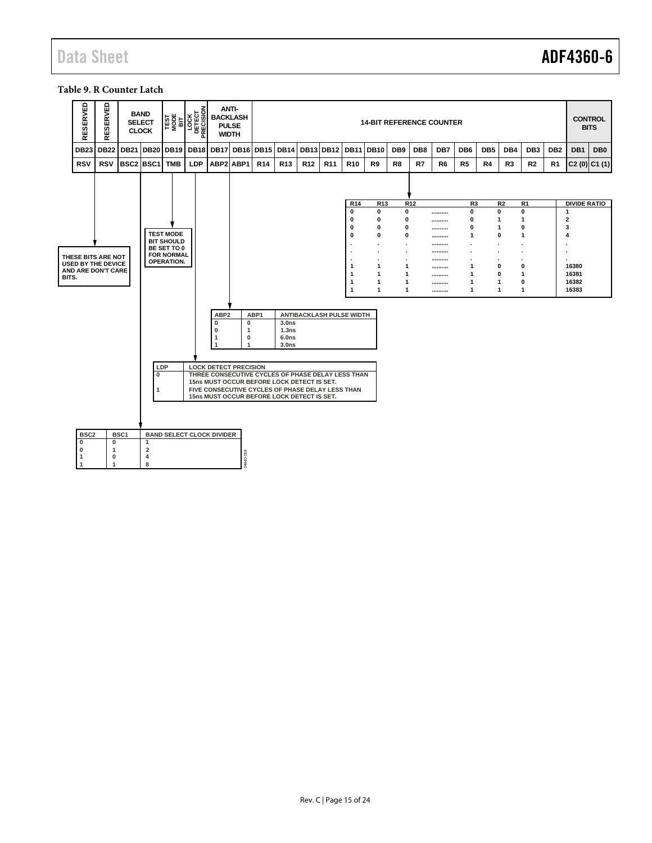# Data Sheet **ADF4360-6**

#### <span id="page-14-0"></span>**Table 9. R Counter Latch**

|       | RESERVED         | RESERVED                                        |                  | <b>BAND</b><br><b>SELECT</b><br><b>CLOCK</b> | <b>TEST</b><br>MOBE<br>BIT             | <b>LOCK</b><br>DETECT<br>RECISION | <b>ANTI-</b><br><b>BACKLASH</b><br><b>PULSE</b><br><b>WIDTH</b>                                 |                               |                  |                                        |                 |                          |                      |                 |                 |     | <b>14-BIT REFERENCE COUNTER</b> |                  |                 |                |                   |                 |                              | <b>CONTROL</b><br><b>BITS</b> |
|-------|------------------|-------------------------------------------------|------------------|----------------------------------------------|----------------------------------------|-----------------------------------|-------------------------------------------------------------------------------------------------|-------------------------------|------------------|----------------------------------------|-----------------|--------------------------|----------------------|-----------------|-----------------|-----|---------------------------------|------------------|-----------------|----------------|-------------------|-----------------|------------------------------|-------------------------------|
|       | <b>DB23</b>      | <b>DB22</b>                                     | <b>DB21</b>      | DB <sub>20</sub>                             | <b>DB19</b>                            | DB <sub>18</sub>                  | <b>DB17</b>                                                                                     |                               | <b>DB16 DB15</b> | <b>DB14</b>                            | <b>DB13</b>     | <b>DB12</b>              | <b>DB11</b>          | <b>DB10</b>     | DB <sub>9</sub> | DB8 | DB7                             | DB <sub>6</sub>  | DB <sub>5</sub> | DB4            | DB <sub>3</sub>   | DB <sub>2</sub> | DB1                          | DB <sub>0</sub>               |
|       | <b>RSV</b>       | <b>RSV</b>                                      | BSC2 BSC1        |                                              | <b>TMB</b>                             | <b>LDP</b>                        | ABP2 ABP1                                                                                       |                               | R <sub>14</sub>  | <b>R13</b>                             | R <sub>12</sub> | R <sub>11</sub>          | R <sub>10</sub>      | R9              | R8              | R7  | R <sub>6</sub>                  | R5               | R4              | R <sub>3</sub> | <b>R2</b>         | R1              |                              | $C2(0)$ $C1(1)$               |
|       |                  |                                                 |                  |                                              |                                        |                                   |                                                                                                 |                               |                  |                                        |                 |                          |                      |                 |                 |     |                                 |                  |                 |                |                   |                 |                              |                               |
|       |                  |                                                 |                  |                                              |                                        |                                   |                                                                                                 |                               |                  |                                        |                 |                          | R14                  | R <sub>13</sub> |                 | R12 |                                 | R <sub>3</sub>   |                 | R <sub>2</sub> | R <sub>1</sub>    |                 | <b>DIVIDE RATIO</b>          |                               |
|       |                  |                                                 |                  |                                              |                                        |                                   |                                                                                                 |                               |                  |                                        |                 |                          | $\bf{0}$<br>$\bf{0}$ | 0<br>0          | 0<br>0          |     | <br>                            | $\mathbf 0$<br>0 | 0<br>1          |                | 0<br>$\mathbf 1$  |                 | $\mathbf{1}$<br>$\mathbf{2}$ |                               |
|       |                  |                                                 |                  |                                              |                                        |                                   |                                                                                                 |                               |                  |                                        |                 |                          | 0                    | 0               | 0               |     |                                 | $\mathbf{0}$     | 1               |                | $\mathbf 0$       |                 | 3                            |                               |
|       |                  |                                                 |                  |                                              | <b>TEST MODE</b><br><b>BIT SHOULD</b>  |                                   |                                                                                                 |                               |                  |                                        |                 |                          | $\mathbf{0}$         | 0               | 0               |     |                                 | 1                | 0               |                | 1                 |                 | 4                            |                               |
|       |                  |                                                 |                  |                                              | BE SET TO 0                            |                                   |                                                                                                 |                               |                  |                                        |                 |                          |                      | $\blacksquare$  |                 |     | <br>                            |                  |                 |                | $\blacksquare$    |                 | ٠                            |                               |
|       |                  | THESE BITS ARE NOT<br><b>USED BY THE DEVICE</b> |                  |                                              | <b>FOR NORMAL</b><br><b>OPERATION.</b> |                                   |                                                                                                 |                               |                  |                                        |                 |                          |                      |                 |                 |     |                                 |                  |                 |                |                   |                 |                              |                               |
|       |                  | <b>AND ARE DON'T CARE</b>                       |                  |                                              |                                        |                                   |                                                                                                 |                               |                  |                                        |                 |                          | 1<br>1               | 1<br>1          | 1<br>1          |     |                                 | 1<br>1           | 0<br>o          |                | 0<br>$\mathbf{1}$ |                 | 16380<br>16381               |                               |
| BITS. |                  |                                                 |                  |                                              |                                        |                                   |                                                                                                 |                               |                  |                                        |                 |                          | 1                    | 1               | 1               |     | ---------<br>---------          | $\mathbf 1$      | 1               |                | 0                 |                 | 16382                        |                               |
|       |                  |                                                 |                  |                                              |                                        |                                   |                                                                                                 |                               |                  |                                        |                 |                          | $\mathbf{1}$         | 1               | 1               |     | ---------                       | $\mathbf{1}$     | $\mathbf{1}$    |                | $\mathbf{1}$      |                 | 16383                        |                               |
|       |                  |                                                 |                  |                                              |                                        |                                   |                                                                                                 |                               |                  |                                        |                 |                          |                      |                 |                 |     |                                 |                  |                 |                |                   |                 |                              |                               |
|       |                  |                                                 |                  |                                              |                                        |                                   | ABP <sub>2</sub>                                                                                |                               | ABP1             |                                        |                 | ANTIBACKLASH PULSE WIDTH |                      |                 |                 |     |                                 |                  |                 |                |                   |                 |                              |                               |
|       |                  |                                                 |                  |                                              |                                        |                                   | 0                                                                                               | $\mathbf 0$                   |                  | 3.0 <sub>ns</sub>                      |                 |                          |                      |                 |                 |     |                                 |                  |                 |                |                   |                 |                              |                               |
|       |                  |                                                 |                  |                                              |                                        |                                   | $\bf{0}$<br>1                                                                                   | $\overline{1}$<br>$\mathbf 0$ |                  | 1.3 <sub>ns</sub><br>6.0 <sub>ns</sub> |                 |                          |                      |                 |                 |     |                                 |                  |                 |                |                   |                 |                              |                               |
|       |                  |                                                 |                  |                                              |                                        |                                   |                                                                                                 | $\mathbf{1}$                  |                  | 3.0 <sub>ns</sub>                      |                 |                          |                      |                 |                 |     |                                 |                  |                 |                |                   |                 |                              |                               |
|       |                  |                                                 |                  |                                              |                                        |                                   |                                                                                                 |                               |                  |                                        |                 |                          |                      |                 |                 |     |                                 |                  |                 |                |                   |                 |                              |                               |
|       |                  |                                                 |                  | LDP                                          |                                        |                                   | <b>LOCK DETECT PRECISION</b>                                                                    |                               |                  |                                        |                 |                          |                      |                 |                 |     |                                 |                  |                 |                |                   |                 |                              |                               |
|       |                  |                                                 |                  | $\mathbf 0$                                  |                                        |                                   | THREE CONSECUTIVE CYCLES OF PHASE DELAY LESS THAN<br>15ns MUST OCCUR BEFORE LOCK DETECT IS SET. |                               |                  |                                        |                 |                          |                      |                 |                 |     |                                 |                  |                 |                |                   |                 |                              |                               |
|       |                  |                                                 |                  | 1                                            |                                        |                                   | FIVE CONSECUTIVE CYCLES OF PHASE DELAY LESS THAN                                                |                               |                  |                                        |                 |                          |                      |                 |                 |     |                                 |                  |                 |                |                   |                 |                              |                               |
|       |                  |                                                 |                  |                                              |                                        |                                   | 15ns MUST OCCUR BEFORE LOCK DETECT IS SET.                                                      |                               |                  |                                        |                 |                          |                      |                 |                 |     |                                 |                  |                 |                |                   |                 |                              |                               |
|       |                  |                                                 |                  |                                              |                                        |                                   |                                                                                                 |                               |                  |                                        |                 |                          |                      |                 |                 |     |                                 |                  |                 |                |                   |                 |                              |                               |
|       |                  |                                                 |                  |                                              |                                        |                                   |                                                                                                 |                               |                  |                                        |                 |                          |                      |                 |                 |     |                                 |                  |                 |                |                   |                 |                              |                               |
|       | BSC <sub>2</sub> |                                                 | BSC <sub>1</sub> |                                              |                                        | <b>BAND SELECT CLOCK DIVIDER</b>  |                                                                                                 |                               |                  |                                        |                 |                          |                      |                 |                 |     |                                 |                  |                 |                |                   |                 |                              |                               |
|       | 0                | 0                                               |                  | 1                                            |                                        |                                   |                                                                                                 |                               |                  |                                        |                 |                          |                      |                 |                 |     |                                 |                  |                 |                |                   |                 |                              |                               |
|       | $\mathbf 0$<br>1 | 1<br>0                                          |                  | $\overline{2}$<br>4                          |                                        |                                   |                                                                                                 |                               |                  |                                        |                 |                          |                      |                 |                 |     |                                 |                  |                 |                |                   |                 |                              |                               |
|       |                  | $\mathbf{1}$                                    |                  | 8                                            |                                        |                                   |                                                                                                 | 04440-019                     |                  |                                        |                 |                          |                      |                 |                 |     |                                 |                  |                 |                |                   |                 |                              |                               |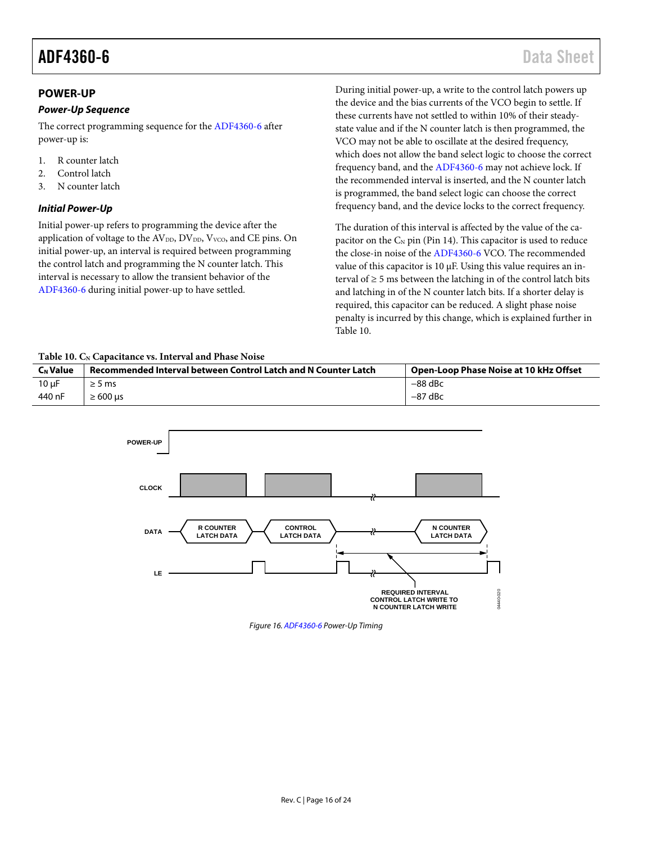## <span id="page-15-0"></span>**POWER-UP**

#### *Power-Up Sequence*

The correct programming sequence for th[e ADF4360-6](http://www.analog.com/adf4360-6?doc=adf4360-6.pdf) after power-up is:

- 1. R counter latch
- 2. Control latch
- 3. N counter latch

#### <span id="page-15-2"></span>*Initial Power-Up*

Initial power-up refers to programming the device after the application of voltage to the  $AV<sub>DD</sub>, DV<sub>DD</sub>, V<sub>VCO</sub>$ , and CE pins. On initial power-up, an interval is required between programming the control latch and programming the N counter latch. This interval is necessary to allow the transient behavior of the [ADF4360-6](http://www.analog.com/adf4360-6?doc=adf4360-6.pdf) during initial power-up to have settled.

During initial power-up, a write to the control latch powers up the device and the bias currents of the VCO begin to settle. If these currents have not settled to within 10% of their steadystate value and if the N counter latch is then programmed, the VCO may not be able to oscillate at the desired frequency, which does not allow the band select logic to choose the correct frequency band, and the [ADF4360-6](http://www.analog.com/adf4360-6?doc=adf4360-6.pdf) may not achieve lock. If the recommended interval is inserted, and the N counter latch is programmed, the band select logic can choose the correct frequency band, and the device locks to the correct frequency.

The duration of this interval is affected by the value of the capacitor on the  $C_N$  pin (Pin 14). This capacitor is used to reduce the close-in noise of th[e ADF4360-6](http://www.analog.com/adf4360-6?doc=adf4360-6.pdf) VCO. The recommended value of this capacitor is 10 µF. Using this value requires an interval of  $\geq$  5 ms between the latching in of the control latch bits and latching in of the N counter latch bits. If a shorter delay is required, this capacitor can be reduced. A slight phase noise penalty is incurred by this change, which is explained further in [Table 10.](#page-15-1)

#### <span id="page-15-1"></span>Table 10. C<sub>N</sub> Capacitance vs. Interval and Phase Noise

| <b>C<sub>N</sub></b> Value | Recommended Interval between Control Latch and N Counter Latch | Open-Loop Phase Noise at 10 kHz Offset |  |  |  |  |  |  |  |  |  |  |
|----------------------------|----------------------------------------------------------------|----------------------------------------|--|--|--|--|--|--|--|--|--|--|
| $10 \mu F$                 | $\geq$ 5 ms                                                    | $-88$ dBc                              |  |  |  |  |  |  |  |  |  |  |
| 440 nF                     | $\geq 600$ us                                                  | $-87$ dBc                              |  |  |  |  |  |  |  |  |  |  |



*Figure 16[. ADF4360-6](http://www.analog.com/adf4360-6?doc=adf4360-6.pdf) Power-Up Timing*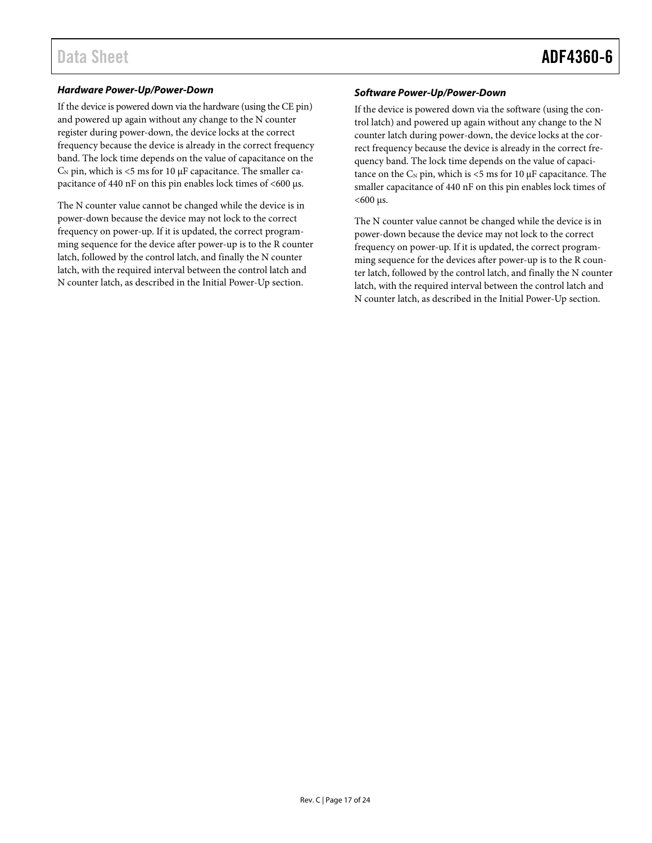#### *Hardware Power-Up/Power-Down*

If the device is powered down via the hardware (using the CE pin) and powered up again without any change to the N counter register during power-down, the device locks at the correct frequency because the device is already in the correct frequency band. The lock time depends on the value of capacitance on the  $C_N$  pin, which is <5 ms for 10  $\mu$ F capacitance. The smaller capacitance of 440 nF on this pin enables lock times of <600  $\mu$ s.

The N counter value cannot be changed while the device is in power-down because the device may not lock to the correct frequency on power-up. If it is updated, the correct programming sequence for the device after power-up is to the R counter latch, followed by the control latch, and finally the N counter latch, with the required interval between the control latch and N counter latch, as described in the [Initial Power-Up](#page-15-2) section.

#### *Software Power-Up/Power-Down*

If the device is powered down via the software (using the control latch) and powered up again without any change to the N counter latch during power-down, the device locks at the correct frequency because the device is already in the correct frequency band. The lock time depends on the value of capacitance on the  $C_N$  pin, which is <5 ms for 10  $\mu$ F capacitance. The smaller capacitance of 440 nF on this pin enables lock times of  $<$ 600 µs.

The N counter value cannot be changed while the device is in power-down because the device may not lock to the correct frequency on power-up. If it is updated, the correct programming sequence for the devices after power-up is to the R counter latch, followed by the control latch, and finally the N counter latch, with the required interval between the control latch and N counter latch, as described in the [Initial Power-Up](#page-15-2) section.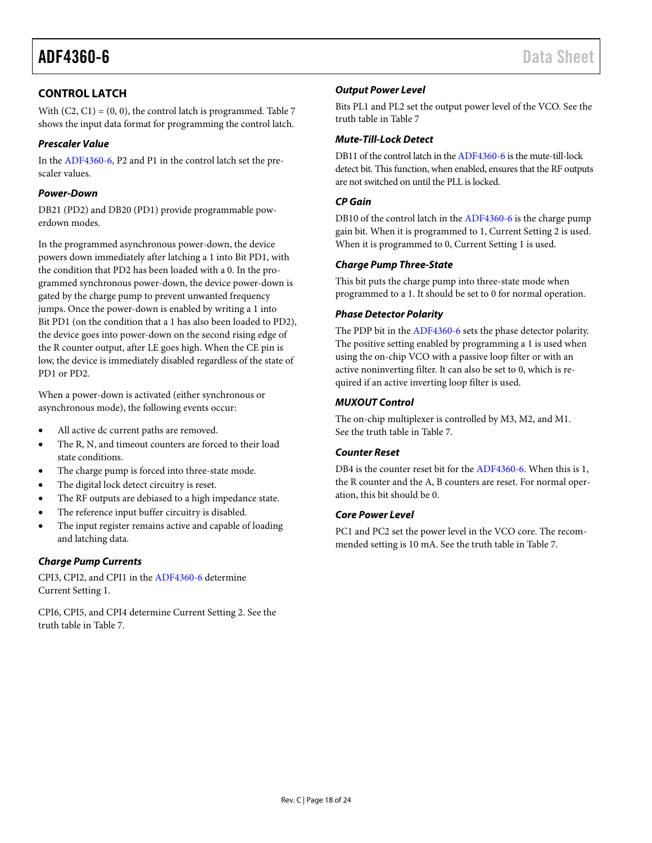# <span id="page-17-0"></span>**CONTROL LATCH**

With  $(C2, C1) = (0, 0)$ , the control latch is programmed[. Table 7](#page-12-0) shows the input data format for programming the control latch.

## *Prescaler Value*

In th[e ADF4360-6,](http://www.analog.com/adf4360-6?doc=adf4360-6.pdf) P2 and P1 in the control latch set the prescaler values.

### *Power-Down*

DB21 (PD2) and DB20 (PD1) provide programmable powerdown modes.

In the programmed asynchronous power-down, the device powers down immediately after latching a 1 into Bit PD1, with the condition that PD2 has been loaded with a 0. In the programmed synchronous power-down, the device power-down is gated by the charge pump to prevent unwanted frequency jumps. Once the power-down is enabled by writing a 1 into Bit PD1 (on the condition that a 1 has also been loaded to PD2), the device goes into power-down on the second rising edge of the R counter output, after LE goes high. When the CE pin is low, the device is immediately disabled regardless of the state of PD1 or PD2.

When a power-down is activated (either synchronous or asynchronous mode), the following events occur:

- All active dc current paths are removed.
- The R, N, and timeout counters are forced to their load state conditions.
- The charge pump is forced into three-state mode.
- The digital lock detect circuitry is reset.
- The RF outputs are debiased to a high impedance state.
- The reference input buffer circuitry is disabled.
- The input register remains active and capable of loading and latching data.

## *Charge Pump Currents*

CPI3, CPI2, and CPI1 in th[e ADF4360-6](http://www.analog.com/adf4360-6?doc=adf4360-6.pdf) determine Current Setting 1.

CPI6, CPI5, and CPI4 determine Current Setting 2. See the truth table in [Table 7.](#page-12-0)

## *Output Power Level*

Bits PL1 and PL2 set the output power level of the VCO. See the truth table in [Table 7](#page-12-0)

## *Mute-Till-Lock Detect*

DB11 of the control latch in th[e ADF4360-6](http://www.analog.com/adf4360-6?doc=adf4360-6.pdf) is the mute-till-lock detect bit. This function, when enabled, ensures that the RF outputs are not switched on until the PLL is locked.

#### *CP Gain*

DB10 of the control latch in th[e ADF4360-6](http://www.analog.com/adf4360-6?doc=adf4360-6.pdf) is the charge pump gain bit. When it is programmed to 1, Current Setting 2 is used. When it is programmed to 0, Current Setting 1 is used.

#### *Charge Pump Three-State*

This bit puts the charge pump into three-state mode when programmed to a 1. It should be set to 0 for normal operation.

## *Phase Detector Polarity*

The PDP bit in the [ADF4360-6](http://www.analog.com/adf4360-6?doc=adf4360-6.pdf) sets the phase detector polarity. The positive setting enabled by programming a 1 is used when using the on-chip VCO with a passive loop filter or with an active noninverting filter. It can also be set to 0, which is required if an active inverting loop filter is used.

## *MUXOUT Control*

The on-chip multiplexer is controlled by M3, M2, and M1. See the truth table in [Table 7.](#page-12-0)

## *Counter Reset*

DB4 is the counter reset bit for th[e ADF4360-6.](http://www.analog.com/adf4360-6?doc=adf4360-6.pdf) When this is 1, the R counter and the A, B counters are reset. For normal operation, this bit should be 0.

#### *Core Power Level*

PC1 and PC2 set the power level in the VCO core. The recommended setting is 10 mA. See the truth table in [Table 7.](#page-12-0)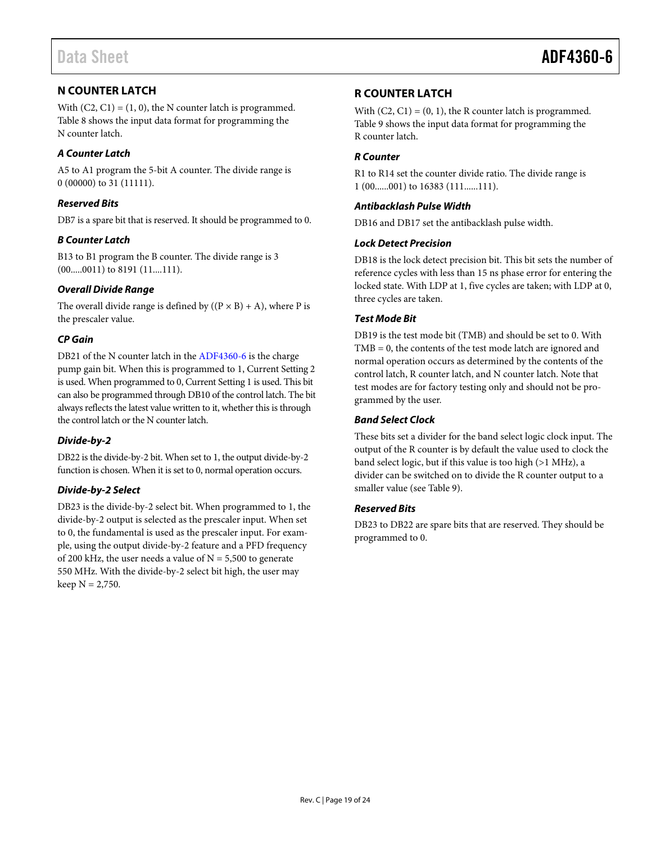# <span id="page-18-0"></span>**N COUNTER LATCH**

With  $(C2, C1) = (1, 0)$ , the N counter latch is programmed. [Table 8](#page-13-0) shows the input data format for programming the N counter latch.

## *A Counter Latch*

A5 to A1 program the 5-bit A counter. The divide range is 0 (00000) to 31 (11111).

## *Reserved Bits*

DB7 is a spare bit that is reserved. It should be programmed to 0.

# *B Counter Latch*

B13 to B1 program the B counter. The divide range is 3 (00.....0011) to 8191 (11....111).

## *Overall Divide Range*

The overall divide range is defined by  $((P \times B) + A)$ , where P is the prescaler value.

# *CP Gain*

DB21 of the N counter latch in the [ADF4360-6](http://www.analog.com/adf4360-6?doc=adf4360-6.pdf) is the charge pump gain bit. When this is programmed to 1, Current Setting 2 is used. When programmed to 0, Current Setting 1 is used. This bit can also be programmed through DB10 of the control latch. The bit always reflects the latest value written to it, whether this is through the control latch or the N counter latch.

## *Divide-by-2*

DB22 is the divide-by-2 bit. When set to 1, the output divide-by-2 function is chosen. When it is set to 0, normal operation occurs.

## *Divide-by-2 Select*

DB23 is the divide-by-2 select bit. When programmed to 1, the divide-by-2 output is selected as the prescaler input. When set to 0, the fundamental is used as the prescaler input. For example, using the output divide-by-2 feature and a PFD frequency of 200 kHz, the user needs a value of  $N = 5,500$  to generate 550 MHz. With the divide-by-2 select bit high, the user may  $keep N = 2,750.$ 

# <span id="page-18-1"></span>**R COUNTER LATCH**

With  $(C2, C1) = (0, 1)$ , the R counter latch is programmed. [Table 9](#page-14-0) shows the input data format for programming the R counter latch.

### *R Counter*

R1 to R14 set the counter divide ratio. The divide range is 1 (00......001) to 16383 (111......111).

### *Antibacklash Pulse Width*

DB16 and DB17 set the antibacklash pulse width.

#### *Lock Detect Precision*

DB18 is the lock detect precision bit. This bit sets the number of reference cycles with less than 15 ns phase error for entering the locked state. With LDP at 1, five cycles are taken; with LDP at 0, three cycles are taken.

#### *Test Mode Bit*

DB19 is the test mode bit (TMB) and should be set to 0. With TMB = 0, the contents of the test mode latch are ignored and normal operation occurs as determined by the contents of the control latch, R counter latch, and N counter latch. Note that test modes are for factory testing only and should not be programmed by the user.

#### *Band Select Clock*

These bits set a divider for the band select logic clock input. The output of the R counter is by default the value used to clock the band select logic, but if this value is too high (>1 MHz), a divider can be switched on to divide the R counter output to a smaller value (se[e Table 9\)](#page-14-0).

## *Reserved Bits*

DB23 to DB22 are spare bits that are reserved. They should be programmed to 0.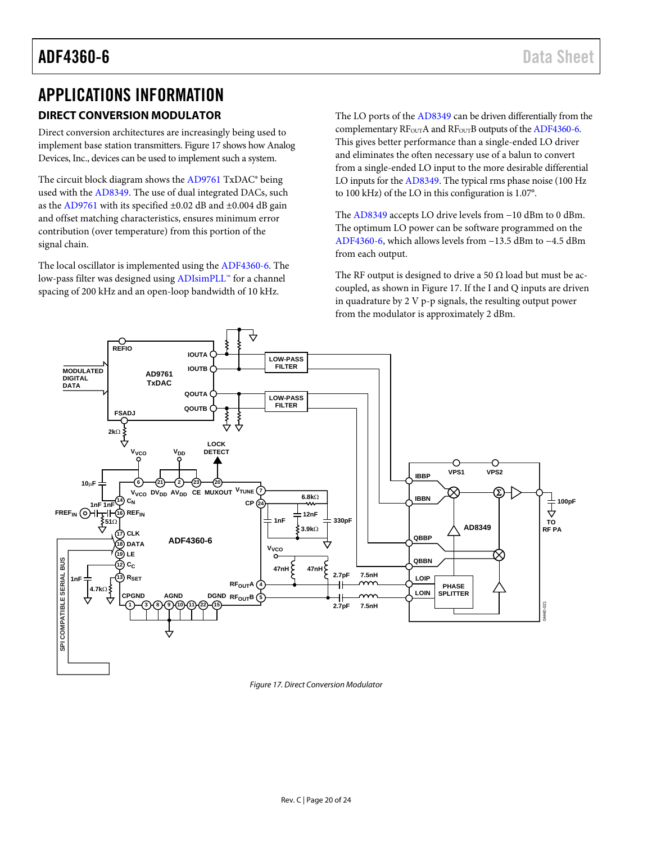# <span id="page-19-0"></span>APPLICATIONS INFORMATION

# <span id="page-19-1"></span>**DIRECT CONVERSION MODULATOR**

Direct conversion architectures are increasingly being used to implement base station transmitters[. Figure 17](#page-19-2) shows how Analog Devices, Inc., devices can be used to implement such a system.

The circuit block diagram shows the [AD9761](http://www.analog.com/ad9761?doc=adf4360-6.pdf) TxDAC® being used with the [AD8349.](http://www.analog.com/ad8349?doc=adf4360-6.pdf) The use of dual integrated DACs, such as the [AD9761](http://www.analog.com/ad9761?doc=adf4360-6.pdf) with its specified ±0.02 dB and ±0.004 dB gain and offset matching characteristics, ensures minimum error contribution (over temperature) from this portion of the signal chain.

The local oscillator is implemented using the [ADF4360-6.](http://www.analog.com/adf4360-6?doc=adf4360-6.pdf) The low-pass filter was designed usin[g ADIsimPLL™](http://www.analog.com/ADIsimPLL?doc=ADF4360-6.pdf) for a channel spacing of 200 kHz and an open-loop bandwidth of 10 kHz.

The LO ports of the [AD8349](http://www.analog.com/ad8349?doc=adf4360-6.pdf) can be driven differentially from the complementary RF<sub>OUT</sub>A and RF<sub>OUT</sub>B outputs of th[e ADF4360-6.](http://www.analog.com/adf4360-6?doc=adf4360-6.pdf) This gives better performance than a single-ended LO driver and eliminates the often necessary use of a balun to convert from a single-ended LO input to the more desirable differential LO inputs for th[e AD8349.](http://www.analog.com/ad8349?doc=adf4360-6.pdf) The typical rms phase noise (100 Hz to 100 kHz) of the LO in this configuration is 1.07°.

The [AD8349](http://www.analog.com/ad8349?doc=adf4360-6.pdf) accepts LO drive levels from −10 dBm to 0 dBm. The optimum LO power can be software programmed on the [ADF4360-6,](http://www.analog.com/adf4360-6?doc=adf4360-6.pdf) which allows levels from −13.5 dBm to −4.5 dBm from each output.

The RF output is designed to drive a 50  $\Omega$  load but must be accoupled, as shown in [Figure 17.](#page-19-2) If the I and Q inputs are driven in quadrature by 2 V p-p signals, the resulting output power from the modulator is approximately 2 dBm.



<span id="page-19-2"></span>*Figure 17. Direct Conversion Modulator*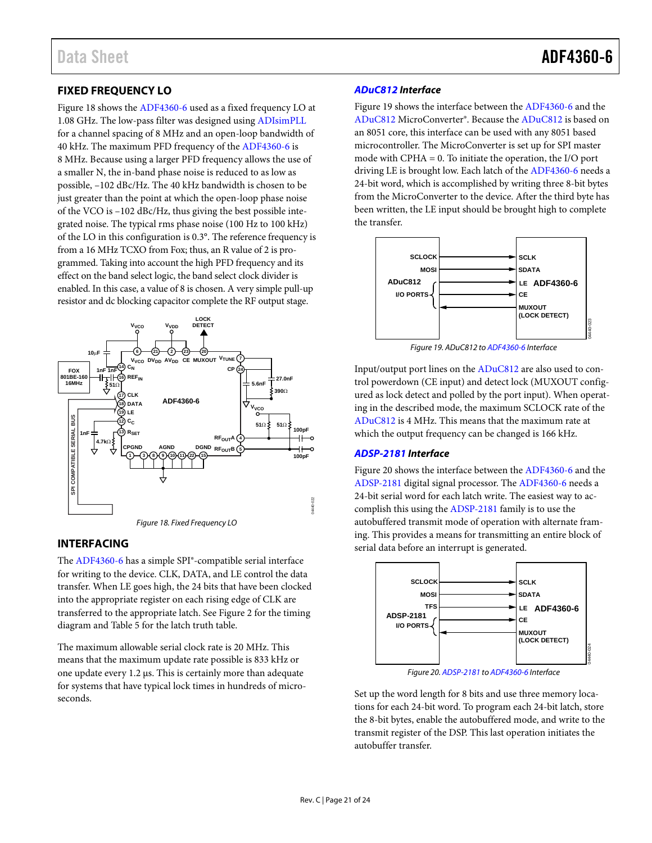# <span id="page-20-0"></span>**FIXED FREQUENCY LO**

[Figure 18 s](#page-20-2)hows th[e ADF4360-6](http://www.analog.com/adf4360-6?doc=adf4360-6.pdf) used as a fixed frequency LO at 1.08 GHz. The low-pass filter was designed using [ADIsimPLL](http://www.analog.com/ADIsimPLL?doc=ADF4360-6.pdf) for a channel spacing of 8 MHz and an open-loop bandwidth of 40 kHz. The maximum PFD frequency of th[e ADF4360-6](http://www.analog.com/adf4360-6?doc=adf4360-6.pdf) is 8 MHz. Because using a larger PFD frequency allows the use of a smaller N, the in-band phase noise is reduced to as low as possible, –102 dBc/Hz. The 40 kHz bandwidth is chosen to be just greater than the point at which the open-loop phase noise of the VCO is –102 dBc/Hz, thus giving the best possible integrated noise. The typical rms phase noise (100 Hz to 100 kHz) of the LO in this configuration is 0.3°. The reference frequency is from a 16 MHz TCXO from Fox; thus, an R value of 2 is programmed. Taking into account the high PFD frequency and its effect on the band select logic, the band select clock divider is enabled. In this case, a value of 8 is chosen. A very simple pull-up resistor and dc blocking capacitor complete the RF output stage.



## <span id="page-20-2"></span><span id="page-20-1"></span>**INTERFACING**

The [ADF4360-6 h](http://www.analog.com/adf4360-6?doc=adf4360-6.pdf)as a simple SPI®-compatible serial interface for writing to the device. CLK, DATA, and LE control the data transfer. When LE goes high, the 24 bits that have been clocked into the appropriate register on each rising edge of CLK are transferred to the appropriate latch. Se[e Figure 2 f](#page-4-1)or the timing diagram and [Table 5](#page-9-4) for the latch truth table.

The maximum allowable serial clock rate is 20 MHz. This means that the maximum update rate possible is 833 kHz or one update every 1.2 μs. This is certainly more than adequate for systems that have typical lock times in hundreds of microseconds.

### **[ADuC812 I](http://www.analog.com/aduc812?doc=adf4360-6.pdf)nterface**

[Figure 19 s](#page-20-3)hows the interface between th[e ADF4360-6](http://www.analog.com/adf4360-6?doc=adf4360-6.pdf) and the [ADuC812 M](http://www.analog.com/aduc812?doc=adf4360-6.pdf)icroConverter®. Because th[e ADuC812 i](http://www.analog.com/aduc812?doc=adf4360-6.pdf)s based on an 8051 core, this interface can be used with any 8051 based microcontroller. The MicroConverter is set up for SPI master mode with CPHA = 0. To initiate the operation, the I/O port driving LE is brought low. Each latch of th[e ADF4360-6](http://www.analog.com/adf4360-6?doc=adf4360-6.pdf) needs a 24-bit word, which is accomplished by writing three 8-bit bytes from the MicroConverter to the device. After the third byte has been written, the LE input should be brought high to complete the transfer.



Figure 19. ADuC812 t[o ADF4360-6 I](http://www.analog.com/adf4360-6?doc=adf4360-6.pdf)nterface

<span id="page-20-3"></span>Input/output port lines on the [ADuC812 a](http://www.analog.com/aduc812?doc=adf4360-6.pdf)re also used to control powerdown (CE input) and detect lock (MUXOUT configured as lock detect and polled by the port input). When operating in the described mode, the maximum SCLOCK rate of the [ADuC812 i](http://www.analog.com/aduc812?doc=adf4360-6.pdf)s 4 MHz. This means that the maximum rate at which the output frequency can be changed is 166 kHz.

#### **[ADSP-2181 I](http://www.analog.com/adsp-2181?doc=adf4360-0.pdf)nterface**

[Figure 20 s](#page-20-4)hows the interface between th[e ADF4360-6](http://www.analog.com/adf4360-6?doc=adf4360-6.pdf) and the [ADSP-2181 d](http://www.analog.com/adsp-2181?doc=adf4360-0.pdf)igital signal processor. Th[e ADF4360-6](http://www.analog.com/adf4360-6?doc=adf4360-6.pdf) needs a 24-bit serial word for each latch write. The easiest way to accomplish this using the [ADSP-2181 f](http://www.analog.com/adsp-2181?doc=adf4360-0.pdf)amily is to use the autobuffered transmit mode of operation with alternate framing. This provides a means for transmitting an entire block of serial data before an interrupt is generated.



Figure 20[. ADSP-2181 t](http://www.analog.com/adsp-2181?doc=adf4360-0.pdf)[o ADF4360-6 I](http://www.analog.com/adf4360-6?doc=adf4360-6.pdf)nterface

<span id="page-20-4"></span>Set up the word length for 8 bits and use three memory locations for each 24-bit word. To program each 24-bit latch, store the 8-bit bytes, enable the autobuffered mode, and write to the transmit register of the DSP. This last operation initiates the autobuffer transfer.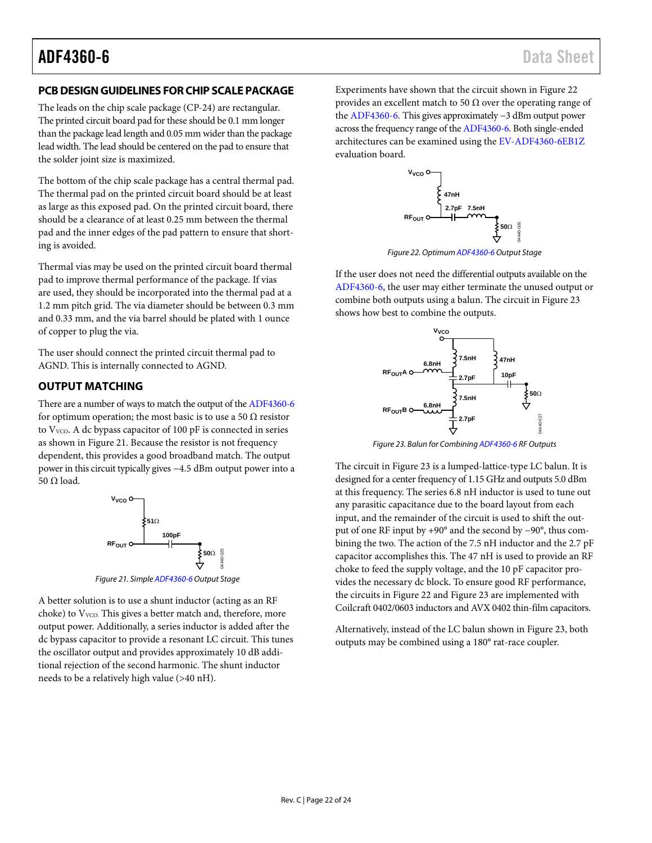# <span id="page-21-0"></span>**PCB DESIGN GUIDELINES FOR CHIP SCALE PACKAGE**

The leads on the chip scale package (CP-24) are rectangular. The printed circuit board pad for these should be 0.1 mm longer than the package lead length and 0.05 mm wider than the package lead width. The lead should be centered on the pad to ensure that the solder joint size is maximized.

The bottom of the chip scale package has a central thermal pad. The thermal pad on the printed circuit board should be at least as large as this exposed pad. On the printed circuit board, there should be a clearance of at least 0.25 mm between the thermal pad and the inner edges of the pad pattern to ensure that shorting is avoided.

Thermal vias may be used on the printed circuit board thermal pad to improve thermal performance of the package. If vias are used, they should be incorporated into the thermal pad at a 1.2 mm pitch grid. The via diameter should be between 0.3 mm and 0.33 mm, and the via barrel should be plated with 1 ounce of copper to plug the via.

The user should connect the printed circuit thermal pad to AGND. This is internally connected to AGND.

# <span id="page-21-1"></span>**OUTPUT MATCHING**

There are a number of ways to match the output of th[e ADF4360-6](http://www.analog.com/adf4360-6?doc=adf4360-6.pdf) for optimum operation; the most basic is to use a 50  $\Omega$  resistor to  $V_{VCO}$ . A dc bypass capacitor of 100 pF is connected in series as shown i[n Figure 21.](#page-21-2) Because the resistor is not frequency dependent, this provides a good broadband match. The output power in this circuit typically gives −4.5 dBm output power into a 50 Ω load.



*Figure 21. Simpl[e ADF4360-6](http://www.analog.com/adf4360-6?doc=adf4360-6.pdf) Output Stage*

<span id="page-21-2"></span>A better solution is to use a shunt inductor (acting as an RF choke) to V<sub>VCO</sub>. This gives a better match and, therefore, more output power. Additionally, a series inductor is added after the dc bypass capacitor to provide a resonant LC circuit. This tunes the oscillator output and provides approximately 10 dB additional rejection of the second harmonic. The shunt inductor needs to be a relatively high value (>40 nH).

Experiments have shown that the circuit shown in [Figure 22](#page-21-3) provides an excellent match to 50  $\Omega$  over the operating range of the [ADF4360-6.](http://www.analog.com/adf4360-6?doc=adf4360-6.pdf) This gives approximately −3 dBm output power across the frequency range of th[e ADF4360-6.](http://www.analog.com/adf4360-6?doc=adf4360-6.pdf) Both single-ended architectures can be examined using th[e EV-ADF4360-6EB1Z](http://www.analog.com/adf4360-6?doc=adf4360-6.pdf) evaluation board.



*Figure 22. Optimu[m ADF4360-6](http://www.analog.com/adf4360-6?doc=adf4360-6.pdf) Output Stage* 

<span id="page-21-3"></span>If the user does not need the differential outputs available on the [ADF4360-6,](http://www.analog.com/adf4360-6?doc=adf4360-6.pdf) the user may either terminate the unused output or combine both outputs using a balun. The circuit i[n Figure 23](#page-21-4) shows how best to combine the outputs.



*Figure 23. Balun for Combinin[g ADF4360-6](http://www.analog.com/adf4360-6?doc=adf4360-6.pdf) RF Outputs*

<span id="page-21-4"></span>The circuit i[n Figure 23](#page-21-4) is a lumped-lattice-type LC balun. It is designed for a center frequency of 1.15 GHz and outputs 5.0 dBm at this frequency. The series 6.8 nH inductor is used to tune out any parasitic capacitance due to the board layout from each input, and the remainder of the circuit is used to shift the output of one RF input by +90° and the second by −90°, thus combining the two. The action of the 7.5 nH inductor and the 2.7 pF capacitor accomplishes this. The 47 nH is used to provide an RF choke to feed the supply voltage, and the 10 pF capacitor provides the necessary dc block. To ensure good RF performance, the circuits in [Figure 22](#page-21-3) an[d Figure 23](#page-21-4) are implemented with Coilcraft 0402/0603 inductors and AVX 0402 thin-film capacitors.

Alternatively, instead of the LC balun shown in [Figure 23,](#page-21-4) both outputs may be combined using a 180° rat-race coupler.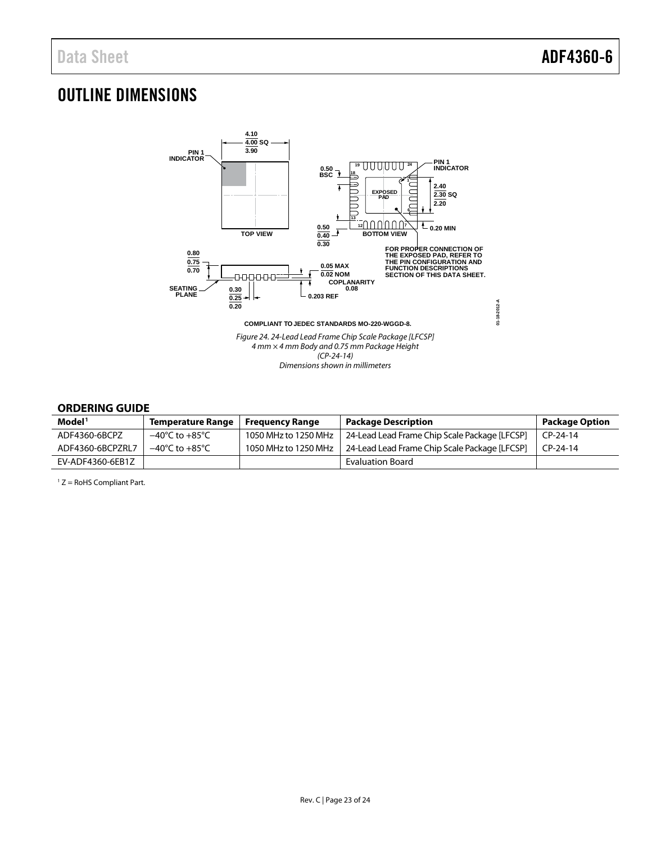# <span id="page-22-0"></span>OUTLINE DIMENSIONS



#### <span id="page-22-1"></span>**ORDERING GUIDE**

| Model <sup>1</sup> | <b>Temperature Range</b>           | <b>Freguency Range</b> | <b>Package Description</b>                    | <b>Package Option</b> |
|--------------------|------------------------------------|------------------------|-----------------------------------------------|-----------------------|
| ADF4360-6BCPZ      | $-40^{\circ}$ C to $+85^{\circ}$ C | 1050 MHz to 1250 MHz   | 24-Lead Lead Frame Chip Scale Package [LFCSP] | $CP-24-14$            |
| ADF4360-6BCPZRL7   | $-40^{\circ}$ C to $+85^{\circ}$ C | 1050 MHz to 1250 MHz   | 24-Lead Lead Frame Chip Scale Package [LFCSP] | $CP-24-14$            |
| EV-ADF4360-6EB1Z   |                                    |                        | <b>Evaluation Board</b>                       |                       |

 $1 Z =$  RoHS Compliant Part.